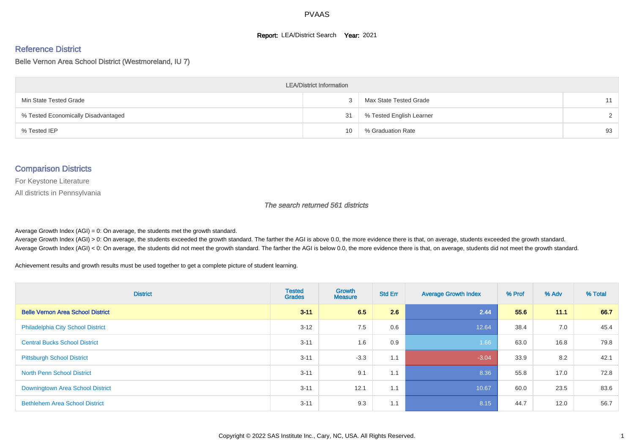#### **Report: LEA/District Search Year: 2021**

#### Reference District

#### Belle Vernon Area School District (Westmoreland, IU 7)

| <b>LEA/District Information</b>     |    |                          |        |  |  |  |  |  |  |
|-------------------------------------|----|--------------------------|--------|--|--|--|--|--|--|
| Min State Tested Grade              |    | Max State Tested Grade   | 11     |  |  |  |  |  |  |
| % Tested Economically Disadvantaged | 31 | % Tested English Learner | $\sim$ |  |  |  |  |  |  |
| % Tested IEP                        | 10 | % Graduation Rate        | 93     |  |  |  |  |  |  |

#### Comparison Districts

For Keystone Literature

All districts in Pennsylvania

The search returned 561 districts

Average Growth Index  $(AGI) = 0$ : On average, the students met the growth standard.

Average Growth Index (AGI) > 0: On average, the students exceeded the growth standard. The farther the AGI is above 0.0, the more evidence there is that, on average, students exceeded the growth standard. Average Growth Index (AGI) < 0: On average, the students did not meet the growth standard. The farther the AGI is below 0.0, the more evidence there is that, on average, students did not meet the growth standard.

Achievement results and growth results must be used together to get a complete picture of student learning.

| <b>District</b>                          | <b>Tested</b><br><b>Grades</b> | <b>Growth</b><br><b>Measure</b> | <b>Std Err</b> | <b>Average Growth Index</b> | % Prof | % Adv | % Total |
|------------------------------------------|--------------------------------|---------------------------------|----------------|-----------------------------|--------|-------|---------|
| <b>Belle Vernon Area School District</b> | $3 - 11$                       | 6.5                             | 2.6            | 2.44                        | 55.6   | 11.1  | 66.7    |
| <b>Philadelphia City School District</b> | $3 - 12$                       | 7.5                             | 0.6            | 12.64                       | 38.4   | 7.0   | 45.4    |
| <b>Central Bucks School District</b>     | $3 - 11$                       | 1.6                             | 0.9            | 1.66                        | 63.0   | 16.8  | 79.8    |
| <b>Pittsburgh School District</b>        | $3 - 11$                       | $-3.3$                          | 1.1            | $-3.04$                     | 33.9   | 8.2   | 42.1    |
| <b>North Penn School District</b>        | $3 - 11$                       | 9.1                             | 1.1            | 8.36                        | 55.8   | 17.0  | 72.8    |
| Downingtown Area School District         | $3 - 11$                       | 12.1                            | 1.1            | 10.67                       | 60.0   | 23.5  | 83.6    |
| <b>Bethlehem Area School District</b>    | $3 - 11$                       | 9.3                             | 1.1            | 8.15                        | 44.7   | 12.0  | 56.7    |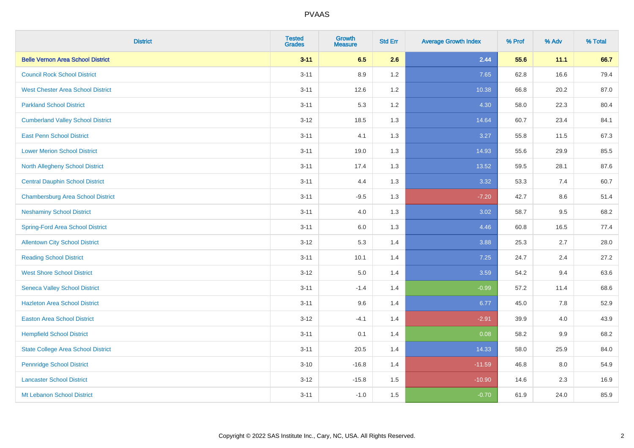| <b>District</b>                           | <b>Tested</b><br><b>Grades</b> | <b>Growth</b><br><b>Measure</b> | <b>Std Err</b> | <b>Average Growth Index</b> | % Prof | % Adv | % Total |
|-------------------------------------------|--------------------------------|---------------------------------|----------------|-----------------------------|--------|-------|---------|
| <b>Belle Vernon Area School District</b>  | $3 - 11$                       | 6.5                             | 2.6            | 2.44                        | 55.6   | 11.1  | 66.7    |
| <b>Council Rock School District</b>       | $3 - 11$                       | 8.9                             | 1.2            | 7.65                        | 62.8   | 16.6  | 79.4    |
| <b>West Chester Area School District</b>  | $3 - 11$                       | 12.6                            | 1.2            | 10.38                       | 66.8   | 20.2  | 87.0    |
| <b>Parkland School District</b>           | $3 - 11$                       | 5.3                             | 1.2            | 4.30                        | 58.0   | 22.3  | 80.4    |
| <b>Cumberland Valley School District</b>  | $3 - 12$                       | 18.5                            | 1.3            | 14.64                       | 60.7   | 23.4  | 84.1    |
| <b>East Penn School District</b>          | $3 - 11$                       | 4.1                             | 1.3            | 3.27                        | 55.8   | 11.5  | 67.3    |
| <b>Lower Merion School District</b>       | $3 - 11$                       | 19.0                            | 1.3            | 14.93                       | 55.6   | 29.9  | 85.5    |
| <b>North Allegheny School District</b>    | $3 - 11$                       | 17.4                            | 1.3            | 13.52                       | 59.5   | 28.1  | 87.6    |
| <b>Central Dauphin School District</b>    | $3 - 11$                       | 4.4                             | 1.3            | 3.32                        | 53.3   | 7.4   | 60.7    |
| <b>Chambersburg Area School District</b>  | $3 - 11$                       | $-9.5$                          | 1.3            | $-7.20$                     | 42.7   | 8.6   | 51.4    |
| <b>Neshaminy School District</b>          | $3 - 11$                       | 4.0                             | 1.3            | 3.02                        | 58.7   | 9.5   | 68.2    |
| <b>Spring-Ford Area School District</b>   | $3 - 11$                       | $6.0\,$                         | 1.3            | 4.46                        | 60.8   | 16.5  | 77.4    |
| <b>Allentown City School District</b>     | $3 - 12$                       | 5.3                             | 1.4            | 3.88                        | 25.3   | 2.7   | 28.0    |
| <b>Reading School District</b>            | $3 - 11$                       | 10.1                            | 1.4            | 7.25                        | 24.7   | 2.4   | 27.2    |
| <b>West Shore School District</b>         | $3 - 12$                       | $5.0\,$                         | 1.4            | 3.59                        | 54.2   | 9.4   | 63.6    |
| <b>Seneca Valley School District</b>      | $3 - 11$                       | $-1.4$                          | 1.4            | $-0.99$                     | 57.2   | 11.4  | 68.6    |
| <b>Hazleton Area School District</b>      | $3 - 11$                       | 9.6                             | 1.4            | 6.77                        | 45.0   | 7.8   | 52.9    |
| <b>Easton Area School District</b>        | $3 - 12$                       | $-4.1$                          | 1.4            | $-2.91$                     | 39.9   | 4.0   | 43.9    |
| <b>Hempfield School District</b>          | $3 - 11$                       | 0.1                             | 1.4            | 0.08                        | 58.2   | 9.9   | 68.2    |
| <b>State College Area School District</b> | $3 - 11$                       | 20.5                            | 1.4            | 14.33                       | 58.0   | 25.9  | 84.0    |
| <b>Pennridge School District</b>          | $3 - 10$                       | $-16.8$                         | 1.4            | $-11.59$                    | 46.8   | 8.0   | 54.9    |
| <b>Lancaster School District</b>          | $3 - 12$                       | $-15.8$                         | 1.5            | $-10.90$                    | 14.6   | 2.3   | 16.9    |
| Mt Lebanon School District                | $3 - 11$                       | $-1.0$                          | 1.5            | $-0.70$                     | 61.9   | 24.0  | 85.9    |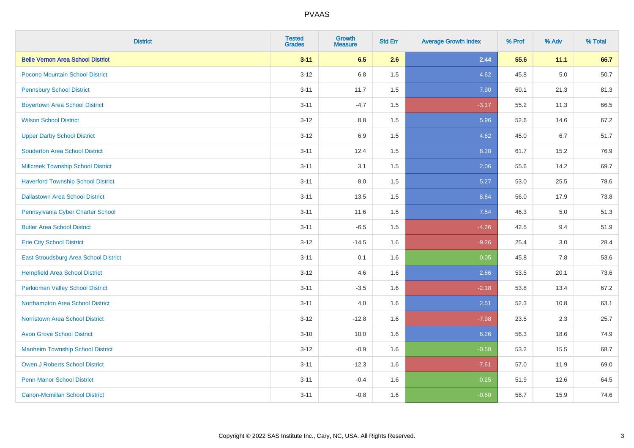| <b>District</b>                           | <b>Tested</b><br><b>Grades</b> | <b>Growth</b><br><b>Measure</b> | <b>Std Err</b> | <b>Average Growth Index</b> | % Prof | % Adv   | % Total |
|-------------------------------------------|--------------------------------|---------------------------------|----------------|-----------------------------|--------|---------|---------|
| <b>Belle Vernon Area School District</b>  | $3 - 11$                       | 6.5                             | 2.6            | 2.44                        | 55.6   | 11.1    | 66.7    |
| Pocono Mountain School District           | $3 - 12$                       | 6.8                             | 1.5            | 4.62                        | 45.8   | $5.0\,$ | 50.7    |
| <b>Pennsbury School District</b>          | $3 - 11$                       | 11.7                            | 1.5            | 7.90                        | 60.1   | 21.3    | 81.3    |
| <b>Boyertown Area School District</b>     | $3 - 11$                       | $-4.7$                          | 1.5            | $-3.17$                     | 55.2   | 11.3    | 66.5    |
| <b>Wilson School District</b>             | $3 - 12$                       | 8.8                             | 1.5            | 5.96                        | 52.6   | 14.6    | 67.2    |
| <b>Upper Darby School District</b>        | $3 - 12$                       | 6.9                             | 1.5            | 4.62                        | 45.0   | 6.7     | 51.7    |
| <b>Souderton Area School District</b>     | $3 - 11$                       | 12.4                            | 1.5            | 8.28                        | 61.7   | 15.2    | 76.9    |
| <b>Millcreek Township School District</b> | $3 - 11$                       | 3.1                             | 1.5            | 2.06                        | 55.6   | 14.2    | 69.7    |
| <b>Haverford Township School District</b> | $3 - 11$                       | 8.0                             | 1.5            | 5.27                        | 53.0   | 25.5    | 78.6    |
| <b>Dallastown Area School District</b>    | $3 - 11$                       | 13.5                            | 1.5            | 8.84                        | 56.0   | 17.9    | 73.8    |
| Pennsylvania Cyber Charter School         | $3 - 11$                       | 11.6                            | 1.5            | 7.54                        | 46.3   | 5.0     | 51.3    |
| <b>Butler Area School District</b>        | $3 - 11$                       | $-6.5$                          | 1.5            | $-4.26$                     | 42.5   | 9.4     | 51.9    |
| <b>Erie City School District</b>          | $3 - 12$                       | $-14.5$                         | 1.6            | $-9.26$                     | 25.4   | $3.0\,$ | 28.4    |
| East Stroudsburg Area School District     | $3 - 11$                       | 0.1                             | 1.6            | 0.05                        | 45.8   | 7.8     | 53.6    |
| <b>Hempfield Area School District</b>     | $3 - 12$                       | 4.6                             | 1.6            | 2.86                        | 53.5   | 20.1    | 73.6    |
| <b>Perkiomen Valley School District</b>   | $3 - 11$                       | $-3.5$                          | 1.6            | $-2.18$                     | 53.8   | 13.4    | 67.2    |
| Northampton Area School District          | $3 - 11$                       | 4.0                             | 1.6            | 2.51                        | 52.3   | 10.8    | 63.1    |
| Norristown Area School District           | $3 - 12$                       | $-12.8$                         | 1.6            | $-7.98$                     | 23.5   | 2.3     | 25.7    |
| <b>Avon Grove School District</b>         | $3 - 10$                       | 10.0                            | 1.6            | 6.26                        | 56.3   | 18.6    | 74.9    |
| <b>Manheim Township School District</b>   | $3-12$                         | $-0.9$                          | 1.6            | $-0.58$                     | 53.2   | 15.5    | 68.7    |
| <b>Owen J Roberts School District</b>     | $3 - 11$                       | $-12.3$                         | 1.6            | $-7.61$                     | 57.0   | 11.9    | 69.0    |
| <b>Penn Manor School District</b>         | $3 - 11$                       | $-0.4$                          | 1.6            | $-0.25$                     | 51.9   | 12.6    | 64.5    |
| <b>Canon-Mcmillan School District</b>     | $3 - 11$                       | $-0.8$                          | 1.6            | $-0.50$                     | 58.7   | 15.9    | 74.6    |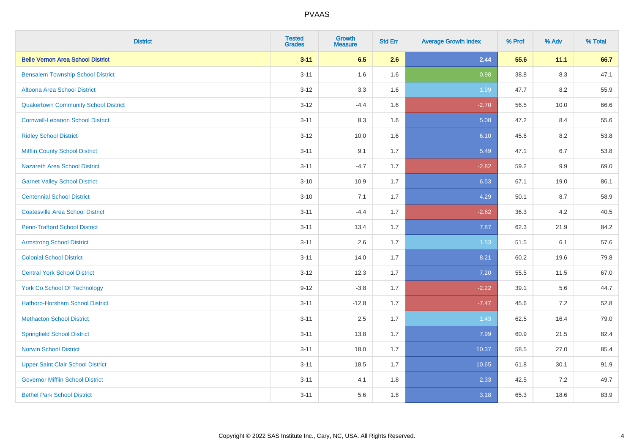| <b>District</b>                             | <b>Tested</b><br><b>Grades</b> | <b>Growth</b><br><b>Measure</b> | <b>Std Err</b> | <b>Average Growth Index</b> | % Prof | % Adv   | % Total |
|---------------------------------------------|--------------------------------|---------------------------------|----------------|-----------------------------|--------|---------|---------|
| <b>Belle Vernon Area School District</b>    | $3 - 11$                       | 6.5                             | 2.6            | 2.44                        | 55.6   | 11.1    | 66.7    |
| <b>Bensalem Township School District</b>    | $3 - 11$                       | 1.6                             | 1.6            | 0.98                        | 38.8   | $8.3\,$ | 47.1    |
| Altoona Area School District                | $3 - 12$                       | 3.3                             | 1.6            | 1.99                        | 47.7   | 8.2     | 55.9    |
| <b>Quakertown Community School District</b> | $3 - 12$                       | $-4.4$                          | 1.6            | $-2.70$                     | 56.5   | 10.0    | 66.6    |
| <b>Cornwall-Lebanon School District</b>     | $3 - 11$                       | 8.3                             | 1.6            | 5.08                        | 47.2   | 8.4     | 55.6    |
| <b>Ridley School District</b>               | $3 - 12$                       | 10.0                            | 1.6            | 6.10                        | 45.6   | 8.2     | 53.8    |
| <b>Mifflin County School District</b>       | $3 - 11$                       | 9.1                             | 1.7            | 5.49                        | 47.1   | 6.7     | 53.8    |
| <b>Nazareth Area School District</b>        | $3 - 11$                       | $-4.7$                          | 1.7            | $-2.82$                     | 59.2   | 9.9     | 69.0    |
| <b>Garnet Valley School District</b>        | $3 - 10$                       | 10.9                            | 1.7            | 6.53                        | 67.1   | 19.0    | 86.1    |
| <b>Centennial School District</b>           | $3 - 10$                       | 7.1                             | 1.7            | 4.29                        | 50.1   | 8.7     | 58.9    |
| <b>Coatesville Area School District</b>     | $3 - 11$                       | $-4.4$                          | 1.7            | $-2.62$                     | 36.3   | 4.2     | 40.5    |
| <b>Penn-Trafford School District</b>        | $3 - 11$                       | 13.4                            | 1.7            | 7.87                        | 62.3   | 21.9    | 84.2    |
| <b>Armstrong School District</b>            | $3 - 11$                       | 2.6                             | 1.7            | 1.53                        | 51.5   | 6.1     | 57.6    |
| <b>Colonial School District</b>             | $3 - 11$                       | 14.0                            | 1.7            | 8.21                        | 60.2   | 19.6    | 79.8    |
| <b>Central York School District</b>         | $3 - 12$                       | 12.3                            | 1.7            | 7.20                        | 55.5   | 11.5    | 67.0    |
| <b>York Co School Of Technology</b>         | $9 - 12$                       | $-3.8$                          | 1.7            | $-2.22$                     | 39.1   | 5.6     | 44.7    |
| Hatboro-Horsham School District             | $3 - 11$                       | $-12.8$                         | 1.7            | $-7.47$                     | 45.6   | 7.2     | 52.8    |
| <b>Methacton School District</b>            | $3 - 11$                       | 2.5                             | 1.7            | 1.43                        | 62.5   | 16.4    | 79.0    |
| <b>Springfield School District</b>          | $3 - 11$                       | 13.8                            | 1.7            | 7.99                        | 60.9   | 21.5    | 82.4    |
| <b>Norwin School District</b>               | $3 - 11$                       | 18.0                            | 1.7            | 10.37                       | 58.5   | 27.0    | 85.4    |
| <b>Upper Saint Clair School District</b>    | $3 - 11$                       | 18.5                            | 1.7            | 10.65                       | 61.8   | 30.1    | 91.9    |
| <b>Governor Mifflin School District</b>     | $3 - 11$                       | 4.1                             | 1.8            | 2.33                        | 42.5   | 7.2     | 49.7    |
| <b>Bethel Park School District</b>          | $3 - 11$                       | 5.6                             | 1.8            | 3.18                        | 65.3   | 18.6    | 83.9    |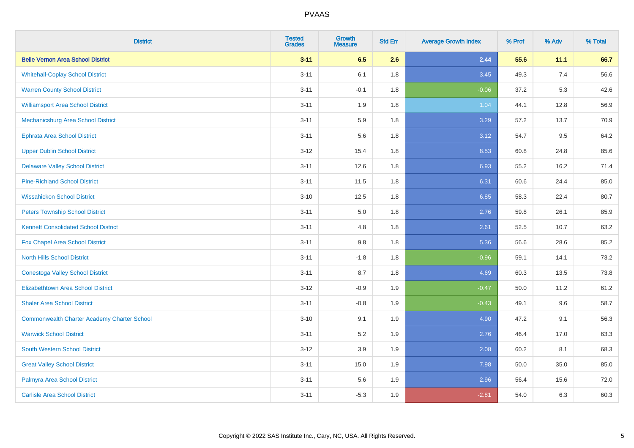| <b>District</b>                                    | <b>Tested</b><br><b>Grades</b> | <b>Growth</b><br><b>Measure</b> | <b>Std Err</b> | <b>Average Growth Index</b> | % Prof | % Adv | % Total |
|----------------------------------------------------|--------------------------------|---------------------------------|----------------|-----------------------------|--------|-------|---------|
| <b>Belle Vernon Area School District</b>           | $3 - 11$                       | 6.5                             | 2.6            | 2.44                        | 55.6   | 11.1  | 66.7    |
| <b>Whitehall-Coplay School District</b>            | $3 - 11$                       | 6.1                             | 1.8            | 3.45                        | 49.3   | 7.4   | 56.6    |
| <b>Warren County School District</b>               | $3 - 11$                       | $-0.1$                          | 1.8            | $-0.06$                     | 37.2   | 5.3   | 42.6    |
| <b>Williamsport Area School District</b>           | $3 - 11$                       | 1.9                             | 1.8            | 1.04                        | 44.1   | 12.8  | 56.9    |
| Mechanicsburg Area School District                 | $3 - 11$                       | 5.9                             | 1.8            | 3.29                        | 57.2   | 13.7  | 70.9    |
| <b>Ephrata Area School District</b>                | $3 - 11$                       | 5.6                             | 1.8            | 3.12                        | 54.7   | 9.5   | 64.2    |
| <b>Upper Dublin School District</b>                | $3-12$                         | 15.4                            | 1.8            | 8.53                        | 60.8   | 24.8  | 85.6    |
| <b>Delaware Valley School District</b>             | $3 - 11$                       | 12.6                            | 1.8            | 6.93                        | 55.2   | 16.2  | 71.4    |
| <b>Pine-Richland School District</b>               | $3 - 11$                       | 11.5                            | 1.8            | 6.31                        | 60.6   | 24.4  | 85.0    |
| <b>Wissahickon School District</b>                 | $3 - 10$                       | 12.5                            | 1.8            | 6.85                        | 58.3   | 22.4  | 80.7    |
| <b>Peters Township School District</b>             | $3 - 11$                       | 5.0                             | 1.8            | 2.76                        | 59.8   | 26.1  | 85.9    |
| <b>Kennett Consolidated School District</b>        | $3 - 11$                       | 4.8                             | 1.8            | 2.61                        | 52.5   | 10.7  | 63.2    |
| Fox Chapel Area School District                    | $3 - 11$                       | $9.8\,$                         | 1.8            | 5.36                        | 56.6   | 28.6  | 85.2    |
| <b>North Hills School District</b>                 | $3 - 11$                       | $-1.8$                          | 1.8            | $-0.96$                     | 59.1   | 14.1  | 73.2    |
| <b>Conestoga Valley School District</b>            | $3 - 11$                       | 8.7                             | 1.8            | 4.69                        | 60.3   | 13.5  | 73.8    |
| <b>Elizabethtown Area School District</b>          | $3-12$                         | $-0.9$                          | 1.9            | $-0.47$                     | 50.0   | 11.2  | 61.2    |
| <b>Shaler Area School District</b>                 | $3 - 11$                       | $-0.8$                          | 1.9            | $-0.43$                     | 49.1   | 9.6   | 58.7    |
| <b>Commonwealth Charter Academy Charter School</b> | $3 - 10$                       | 9.1                             | 1.9            | 4.90                        | 47.2   | 9.1   | 56.3    |
| <b>Warwick School District</b>                     | $3 - 11$                       | 5.2                             | 1.9            | 2.76                        | 46.4   | 17.0  | 63.3    |
| <b>South Western School District</b>               | $3-12$                         | 3.9                             | 1.9            | 2.08                        | 60.2   | 8.1   | 68.3    |
| <b>Great Valley School District</b>                | $3 - 11$                       | 15.0                            | 1.9            | 7.98                        | 50.0   | 35.0  | 85.0    |
| Palmyra Area School District                       | $3 - 11$                       | 5.6                             | 1.9            | 2.96                        | 56.4   | 15.6  | 72.0    |
| <b>Carlisle Area School District</b>               | $3 - 11$                       | $-5.3$                          | 1.9            | $-2.81$                     | 54.0   | 6.3   | 60.3    |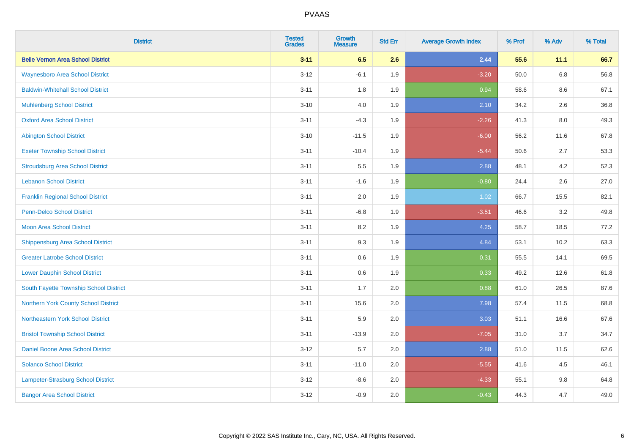| <b>District</b>                          | <b>Tested</b><br><b>Grades</b> | <b>Growth</b><br><b>Measure</b> | <b>Std Err</b> | <b>Average Growth Index</b> | % Prof | % Adv   | % Total |
|------------------------------------------|--------------------------------|---------------------------------|----------------|-----------------------------|--------|---------|---------|
| <b>Belle Vernon Area School District</b> | $3 - 11$                       | 6.5                             | 2.6            | 2.44                        | 55.6   | 11.1    | 66.7    |
| <b>Waynesboro Area School District</b>   | $3 - 12$                       | $-6.1$                          | 1.9            | $-3.20$                     | 50.0   | $6.8\,$ | 56.8    |
| <b>Baldwin-Whitehall School District</b> | $3 - 11$                       | 1.8                             | 1.9            | 0.94                        | 58.6   | 8.6     | 67.1    |
| <b>Muhlenberg School District</b>        | $3 - 10$                       | 4.0                             | 1.9            | 2.10                        | 34.2   | 2.6     | 36.8    |
| <b>Oxford Area School District</b>       | $3 - 11$                       | $-4.3$                          | 1.9            | $-2.26$                     | 41.3   | 8.0     | 49.3    |
| <b>Abington School District</b>          | $3 - 10$                       | $-11.5$                         | 1.9            | $-6.00$                     | 56.2   | 11.6    | 67.8    |
| <b>Exeter Township School District</b>   | $3 - 11$                       | $-10.4$                         | 1.9            | $-5.44$                     | 50.6   | 2.7     | 53.3    |
| <b>Stroudsburg Area School District</b>  | $3 - 11$                       | $5.5\,$                         | 1.9            | 2.88                        | 48.1   | 4.2     | 52.3    |
| <b>Lebanon School District</b>           | $3 - 11$                       | $-1.6$                          | 1.9            | $-0.80$                     | 24.4   | 2.6     | 27.0    |
| <b>Franklin Regional School District</b> | $3 - 11$                       | 2.0                             | 1.9            | 1.02                        | 66.7   | 15.5    | 82.1    |
| <b>Penn-Delco School District</b>        | $3 - 11$                       | $-6.8$                          | 1.9            | $-3.51$                     | 46.6   | 3.2     | 49.8    |
| <b>Moon Area School District</b>         | $3 - 11$                       | 8.2                             | 1.9            | 4.25                        | 58.7   | 18.5    | 77.2    |
| <b>Shippensburg Area School District</b> | $3 - 11$                       | 9.3                             | 1.9            | 4.84                        | 53.1   | 10.2    | 63.3    |
| <b>Greater Latrobe School District</b>   | $3 - 11$                       | 0.6                             | 1.9            | 0.31                        | 55.5   | 14.1    | 69.5    |
| <b>Lower Dauphin School District</b>     | $3 - 11$                       | 0.6                             | 1.9            | 0.33                        | 49.2   | 12.6    | 61.8    |
| South Fayette Township School District   | $3 - 11$                       | 1.7                             | 2.0            | 0.88                        | 61.0   | 26.5    | 87.6    |
| Northern York County School District     | $3 - 11$                       | 15.6                            | 2.0            | 7.98                        | 57.4   | 11.5    | 68.8    |
| Northeastern York School District        | $3 - 11$                       | 5.9                             | 2.0            | 3.03                        | 51.1   | 16.6    | 67.6    |
| <b>Bristol Township School District</b>  | $3 - 11$                       | $-13.9$                         | 2.0            | $-7.05$                     | 31.0   | 3.7     | 34.7    |
| <b>Daniel Boone Area School District</b> | $3 - 12$                       | 5.7                             | 2.0            | 2.88                        | 51.0   | 11.5    | 62.6    |
| <b>Solanco School District</b>           | $3 - 11$                       | $-11.0$                         | 2.0            | $-5.55$                     | 41.6   | 4.5     | 46.1    |
| Lampeter-Strasburg School District       | $3-12$                         | $-8.6$                          | 2.0            | $-4.33$                     | 55.1   | 9.8     | 64.8    |
| <b>Bangor Area School District</b>       | $3 - 12$                       | $-0.9$                          | 2.0            | $-0.43$                     | 44.3   | 4.7     | 49.0    |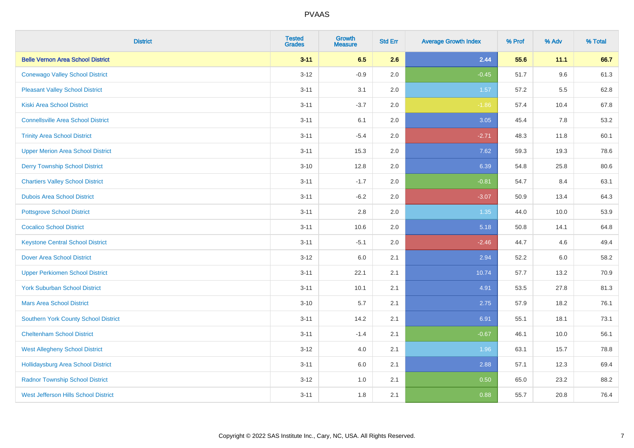| <b>District</b>                             | <b>Tested</b><br><b>Grades</b> | <b>Growth</b><br><b>Measure</b> | <b>Std Err</b> | <b>Average Growth Index</b> | % Prof | % Adv | % Total |
|---------------------------------------------|--------------------------------|---------------------------------|----------------|-----------------------------|--------|-------|---------|
| <b>Belle Vernon Area School District</b>    | $3 - 11$                       | 6.5                             | 2.6            | 2.44                        | 55.6   | 11.1  | 66.7    |
| <b>Conewago Valley School District</b>      | $3 - 12$                       | $-0.9$                          | 2.0            | $-0.45$                     | 51.7   | 9.6   | 61.3    |
| <b>Pleasant Valley School District</b>      | $3 - 11$                       | 3.1                             | 2.0            | 1.57                        | 57.2   | 5.5   | 62.8    |
| <b>Kiski Area School District</b>           | $3 - 11$                       | $-3.7$                          | 2.0            | $-1.86$                     | 57.4   | 10.4  | 67.8    |
| <b>Connellsville Area School District</b>   | $3 - 11$                       | 6.1                             | 2.0            | 3.05                        | 45.4   | 7.8   | 53.2    |
| <b>Trinity Area School District</b>         | $3 - 11$                       | $-5.4$                          | 2.0            | $-2.71$                     | 48.3   | 11.8  | 60.1    |
| <b>Upper Merion Area School District</b>    | $3 - 11$                       | 15.3                            | 2.0            | 7.62                        | 59.3   | 19.3  | 78.6    |
| <b>Derry Township School District</b>       | $3 - 10$                       | 12.8                            | 2.0            | 6.39                        | 54.8   | 25.8  | 80.6    |
| <b>Chartiers Valley School District</b>     | $3 - 11$                       | $-1.7$                          | 2.0            | $-0.81$                     | 54.7   | 8.4   | 63.1    |
| <b>Dubois Area School District</b>          | $3 - 11$                       | $-6.2$                          | 2.0            | $-3.07$                     | 50.9   | 13.4  | 64.3    |
| <b>Pottsgrove School District</b>           | $3 - 11$                       | 2.8                             | 2.0            | 1.35                        | 44.0   | 10.0  | 53.9    |
| <b>Cocalico School District</b>             | $3 - 11$                       | 10.6                            | 2.0            | 5.18                        | 50.8   | 14.1  | 64.8    |
| <b>Keystone Central School District</b>     | $3 - 11$                       | $-5.1$                          | 2.0            | $-2.46$                     | 44.7   | 4.6   | 49.4    |
| <b>Dover Area School District</b>           | $3 - 12$                       | 6.0                             | 2.1            | 2.94                        | 52.2   | 6.0   | 58.2    |
| <b>Upper Perkiomen School District</b>      | $3 - 11$                       | 22.1                            | 2.1            | 10.74                       | 57.7   | 13.2  | 70.9    |
| <b>York Suburban School District</b>        | $3 - 11$                       | 10.1                            | 2.1            | 4.91                        | 53.5   | 27.8  | 81.3    |
| <b>Mars Area School District</b>            | $3 - 10$                       | 5.7                             | 2.1            | 2.75                        | 57.9   | 18.2  | 76.1    |
| <b>Southern York County School District</b> | $3 - 11$                       | 14.2                            | 2.1            | 6.91                        | 55.1   | 18.1  | 73.1    |
| <b>Cheltenham School District</b>           | $3 - 11$                       | $-1.4$                          | 2.1            | $-0.67$                     | 46.1   | 10.0  | 56.1    |
| <b>West Allegheny School District</b>       | $3-12$                         | 4.0                             | 2.1            | 1.96                        | 63.1   | 15.7  | 78.8    |
| <b>Hollidaysburg Area School District</b>   | $3 - 11$                       | 6.0                             | 2.1            | 2.88                        | 57.1   | 12.3  | 69.4    |
| <b>Radnor Township School District</b>      | $3 - 12$                       | 1.0                             | 2.1            | 0.50                        | 65.0   | 23.2  | 88.2    |
| West Jefferson Hills School District        | $3 - 11$                       | 1.8                             | 2.1            | 0.88                        | 55.7   | 20.8  | 76.4    |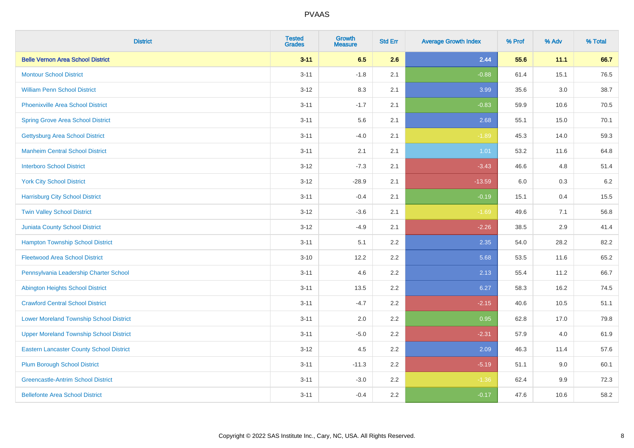| <b>District</b>                                 | <b>Tested</b><br><b>Grades</b> | <b>Growth</b><br><b>Measure</b> | <b>Std Err</b> | <b>Average Growth Index</b> | % Prof | % Adv   | % Total |
|-------------------------------------------------|--------------------------------|---------------------------------|----------------|-----------------------------|--------|---------|---------|
| <b>Belle Vernon Area School District</b>        | $3 - 11$                       | 6.5                             | 2.6            | 2.44                        | 55.6   | 11.1    | 66.7    |
| <b>Montour School District</b>                  | $3 - 11$                       | $-1.8$                          | 2.1            | $-0.88$                     | 61.4   | 15.1    | 76.5    |
| <b>William Penn School District</b>             | $3-12$                         | 8.3                             | 2.1            | 3.99                        | 35.6   | $3.0\,$ | 38.7    |
| Phoenixville Area School District               | $3 - 11$                       | $-1.7$                          | 2.1            | $-0.83$                     | 59.9   | 10.6    | 70.5    |
| <b>Spring Grove Area School District</b>        | $3 - 11$                       | 5.6                             | 2.1            | 2.68                        | 55.1   | 15.0    | 70.1    |
| <b>Gettysburg Area School District</b>          | $3 - 11$                       | $-4.0$                          | 2.1            | $-1.89$                     | 45.3   | 14.0    | 59.3    |
| <b>Manheim Central School District</b>          | $3 - 11$                       | 2.1                             | 2.1            | 1.01                        | 53.2   | 11.6    | 64.8    |
| <b>Interboro School District</b>                | $3 - 12$                       | $-7.3$                          | 2.1            | $-3.43$                     | 46.6   | 4.8     | 51.4    |
| <b>York City School District</b>                | $3-12$                         | $-28.9$                         | 2.1            | $-13.59$                    | 6.0    | $0.3\,$ | 6.2     |
| <b>Harrisburg City School District</b>          | $3 - 11$                       | $-0.4$                          | 2.1            | $-0.19$                     | 15.1   | 0.4     | 15.5    |
| <b>Twin Valley School District</b>              | $3-12$                         | $-3.6$                          | 2.1            | $-1.69$                     | 49.6   | 7.1     | 56.8    |
| Juniata County School District                  | $3 - 12$                       | $-4.9$                          | 2.1            | $-2.26$                     | 38.5   | 2.9     | 41.4    |
| <b>Hampton Township School District</b>         | $3 - 11$                       | 5.1                             | 2.2            | 2.35                        | 54.0   | 28.2    | 82.2    |
| <b>Fleetwood Area School District</b>           | $3 - 10$                       | 12.2                            | 2.2            | 5.68                        | 53.5   | 11.6    | 65.2    |
| Pennsylvania Leadership Charter School          | $3 - 11$                       | 4.6                             | 2.2            | 2.13                        | 55.4   | 11.2    | 66.7    |
| <b>Abington Heights School District</b>         | $3 - 11$                       | 13.5                            | 2.2            | 6.27                        | 58.3   | 16.2    | 74.5    |
| <b>Crawford Central School District</b>         | $3 - 11$                       | $-4.7$                          | 2.2            | $-2.15$                     | 40.6   | 10.5    | 51.1    |
| <b>Lower Moreland Township School District</b>  | $3 - 11$                       | 2.0                             | 2.2            | 0.95                        | 62.8   | 17.0    | 79.8    |
| <b>Upper Moreland Township School District</b>  | $3 - 11$                       | $-5.0$                          | 2.2            | $-2.31$                     | 57.9   | 4.0     | 61.9    |
| <b>Eastern Lancaster County School District</b> | $3 - 12$                       | 4.5                             | 2.2            | 2.09                        | 46.3   | 11.4    | 57.6    |
| <b>Plum Borough School District</b>             | $3 - 11$                       | $-11.3$                         | 2.2            | $-5.19$                     | 51.1   | 9.0     | 60.1    |
| <b>Greencastle-Antrim School District</b>       | $3 - 11$                       | $-3.0$                          | 2.2            | $-1.36$                     | 62.4   | 9.9     | 72.3    |
| <b>Bellefonte Area School District</b>          | $3 - 11$                       | $-0.4$                          | 2.2            | $-0.17$                     | 47.6   | 10.6    | 58.2    |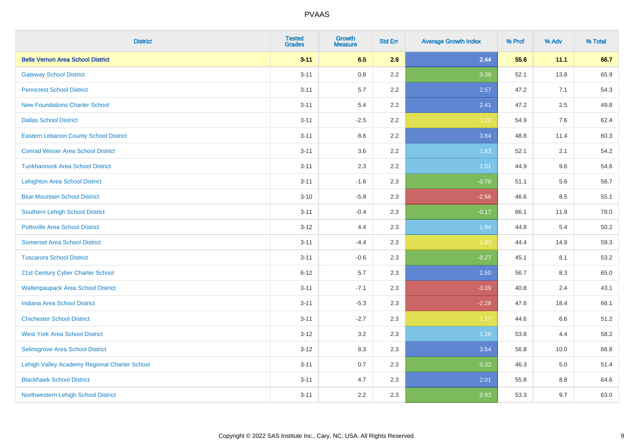| <b>District</b>                               | <b>Tested</b><br><b>Grades</b> | <b>Growth</b><br><b>Measure</b> | <b>Std Err</b> | <b>Average Growth Index</b> | % Prof | % Adv | % Total |
|-----------------------------------------------|--------------------------------|---------------------------------|----------------|-----------------------------|--------|-------|---------|
| <b>Belle Vernon Area School District</b>      | $3 - 11$                       | 6.5                             | 2.6            | 2.44                        | 55.6   | 11.1  | 66.7    |
| <b>Gateway School District</b>                | $3 - 11$                       | $0.8\,$                         | 2.2            | 0.38                        | 52.1   | 13.8  | 65.9    |
| <b>Penncrest School District</b>              | $3 - 11$                       | 5.7                             | 2.2            | 2.57                        | 47.2   | 7.1   | 54.3    |
| <b>New Foundations Charter School</b>         | $3 - 11$                       | 5.4                             | 2.2            | 2.41                        | 47.2   | 2.5   | 49.8    |
| <b>Dallas School District</b>                 | $3 - 11$                       | $-2.5$                          | 2.2            | $-1.12$                     | 54.9   | 7.6   | 62.4    |
| <b>Eastern Lebanon County School District</b> | $3 - 11$                       | 8.6                             | 2.2            | 3.84                        | 48.8   | 11.4  | 60.3    |
| <b>Conrad Weiser Area School District</b>     | $3 - 11$                       | 3.6                             | 2.2            | 1.63                        | 52.1   | 2.1   | 54.2    |
| <b>Tunkhannock Area School District</b>       | $3 - 11$                       | 2.3                             | 2.2            | 1.01                        | 44.9   | 9.6   | 54.6    |
| <b>Lehighton Area School District</b>         | $3 - 11$                       | $-1.6$                          | 2.3            | $-0.70$                     | 51.1   | 5.6   | 56.7    |
| <b>Blue Mountain School District</b>          | $3 - 10$                       | $-5.8$                          | 2.3            | $-2.56$                     | 46.6   | 8.5   | 55.1    |
| Southern Lehigh School District               | $3 - 11$                       | $-0.4$                          | 2.3            | $-0.17$                     | 66.1   | 11.9  | 78.0    |
| <b>Pottsville Area School District</b>        | $3 - 12$                       | 4.4                             | 2.3            | 1.94                        | 44.8   | 5.4   | 50.2    |
| <b>Somerset Area School District</b>          | $3 - 11$                       | $-4.4$                          | 2.3            | $-1.93$                     | 44.4   | 14.9  | 59.3    |
| <b>Tuscarora School District</b>              | $3 - 11$                       | $-0.6$                          | 2.3            | $-0.27$                     | 45.1   | 8.1   | 53.2    |
| 21st Century Cyber Charter School             | $6 - 12$                       | 5.7                             | 2.3            | 2.50                        | 56.7   | 8.3   | 65.0    |
| <b>Wallenpaupack Area School District</b>     | $3 - 11$                       | $-7.1$                          | 2.3            | $-3.09$                     | 40.8   | 2.4   | 43.1    |
| <b>Indiana Area School District</b>           | $3 - 11$                       | $-5.3$                          | 2.3            | $-2.28$                     | 47.6   | 18.4  | 66.1    |
| <b>Chichester School District</b>             | $3 - 11$                       | $-2.7$                          | 2.3            | $-1.17$                     | 44.6   | 6.6   | 51.2    |
| <b>West York Area School District</b>         | $3 - 12$                       | 3.2                             | 2.3            | 1.38                        | 53.8   | 4.4   | 58.2    |
| Selinsgrove Area School District              | $3 - 12$                       | 8.3                             | 2.3            | 3.54                        | 56.8   | 10.0  | 66.8    |
| Lehigh Valley Academy Regional Charter School | $3 - 11$                       | 0.7                             | 2.3            | 0.32                        | 46.3   | 5.0   | 51.4    |
| <b>Blackhawk School District</b>              | $3 - 11$                       | 4.7                             | 2.3            | 2.01                        | 55.8   | 8.8   | 64.6    |
| Northwestern Lehigh School District           | $3 - 11$                       | 2.2                             | 2.3            | 0.93                        | 53.3   | 9.7   | 63.0    |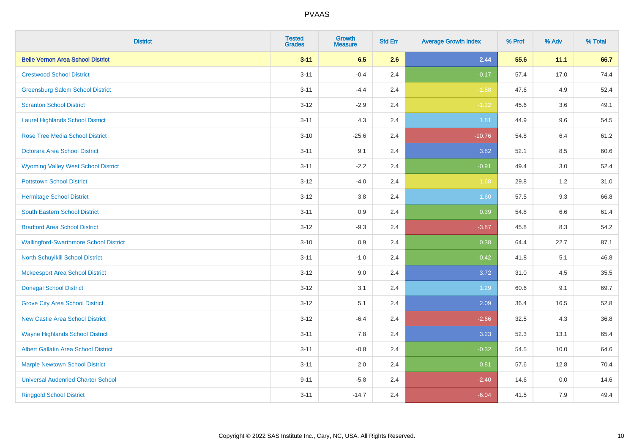| <b>District</b>                               | <b>Tested</b><br><b>Grades</b> | <b>Growth</b><br><b>Measure</b> | <b>Std Err</b> | <b>Average Growth Index</b> | % Prof | % Adv   | % Total |
|-----------------------------------------------|--------------------------------|---------------------------------|----------------|-----------------------------|--------|---------|---------|
| <b>Belle Vernon Area School District</b>      | $3 - 11$                       | 6.5                             | 2.6            | 2.44                        | 55.6   | 11.1    | 66.7    |
| <b>Crestwood School District</b>              | $3 - 11$                       | $-0.4$                          | 2.4            | $-0.17$                     | 57.4   | 17.0    | 74.4    |
| <b>Greensburg Salem School District</b>       | $3 - 11$                       | $-4.4$                          | 2.4            | $-1.88$                     | 47.6   | 4.9     | 52.4    |
| <b>Scranton School District</b>               | $3 - 12$                       | $-2.9$                          | 2.4            | $-1.22$                     | 45.6   | 3.6     | 49.1    |
| <b>Laurel Highlands School District</b>       | $3 - 11$                       | 4.3                             | 2.4            | 1.81                        | 44.9   | 9.6     | 54.5    |
| <b>Rose Tree Media School District</b>        | $3 - 10$                       | $-25.6$                         | 2.4            | $-10.76$                    | 54.8   | 6.4     | 61.2    |
| Octorara Area School District                 | $3 - 11$                       | 9.1                             | 2.4            | 3.82                        | 52.1   | 8.5     | 60.6    |
| <b>Wyoming Valley West School District</b>    | $3 - 11$                       | $-2.2$                          | 2.4            | $-0.91$                     | 49.4   | 3.0     | 52.4    |
| <b>Pottstown School District</b>              | $3 - 12$                       | $-4.0$                          | 2.4            | $-1.68$                     | 29.8   | $1.2$   | 31.0    |
| <b>Hermitage School District</b>              | $3 - 12$                       | 3.8                             | 2.4            | 1.60                        | 57.5   | 9.3     | 66.8    |
| <b>South Eastern School District</b>          | $3 - 11$                       | 0.9                             | 2.4            | 0.39                        | 54.8   | 6.6     | 61.4    |
| <b>Bradford Area School District</b>          | $3 - 12$                       | $-9.3$                          | 2.4            | $-3.87$                     | 45.8   | 8.3     | 54.2    |
| <b>Wallingford-Swarthmore School District</b> | $3 - 10$                       | $0.9\,$                         | 2.4            | 0.38                        | 64.4   | 22.7    | 87.1    |
| North Schuylkill School District              | $3 - 11$                       | $-1.0$                          | 2.4            | $-0.42$                     | 41.8   | 5.1     | 46.8    |
| <b>Mckeesport Area School District</b>        | $3 - 12$                       | 9.0                             | 2.4            | 3.72                        | 31.0   | 4.5     | 35.5    |
| <b>Donegal School District</b>                | $3 - 12$                       | 3.1                             | 2.4            | 1.29                        | 60.6   | 9.1     | 69.7    |
| <b>Grove City Area School District</b>        | $3 - 12$                       | 5.1                             | 2.4            | 2.09                        | 36.4   | 16.5    | 52.8    |
| <b>New Castle Area School District</b>        | $3 - 12$                       | $-6.4$                          | 2.4            | $-2.66$                     | 32.5   | 4.3     | 36.8    |
| <b>Wayne Highlands School District</b>        | $3 - 11$                       | 7.8                             | 2.4            | 3.23                        | 52.3   | 13.1    | 65.4    |
| <b>Albert Gallatin Area School District</b>   | $3 - 11$                       | $-0.8$                          | 2.4            | $-0.32$                     | 54.5   | 10.0    | 64.6    |
| <b>Marple Newtown School District</b>         | $3 - 11$                       | 2.0                             | 2.4            | 0.81                        | 57.6   | 12.8    | 70.4    |
| <b>Universal Audenried Charter School</b>     | $9 - 11$                       | $-5.8$                          | 2.4            | $-2.40$                     | 14.6   | $0.0\,$ | 14.6    |
| <b>Ringgold School District</b>               | $3 - 11$                       | $-14.7$                         | 2.4            | $-6.04$                     | 41.5   | 7.9     | 49.4    |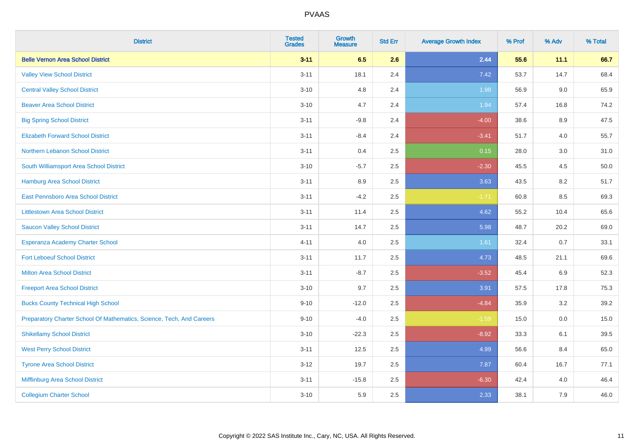| <b>District</b>                                                       | <b>Tested</b><br><b>Grades</b> | <b>Growth</b><br><b>Measure</b> | <b>Std Err</b> | <b>Average Growth Index</b> | % Prof | % Adv | % Total |
|-----------------------------------------------------------------------|--------------------------------|---------------------------------|----------------|-----------------------------|--------|-------|---------|
| <b>Belle Vernon Area School District</b>                              | $3 - 11$                       | 6.5                             | 2.6            | 2.44                        | 55.6   | 11.1  | 66.7    |
| <b>Valley View School District</b>                                    | $3 - 11$                       | 18.1                            | 2.4            | 7.42                        | 53.7   | 14.7  | 68.4    |
| <b>Central Valley School District</b>                                 | $3 - 10$                       | 4.8                             | 2.4            | 1.98                        | 56.9   | 9.0   | 65.9    |
| <b>Beaver Area School District</b>                                    | $3 - 10$                       | 4.7                             | 2.4            | 1.94                        | 57.4   | 16.8  | 74.2    |
| <b>Big Spring School District</b>                                     | $3 - 11$                       | $-9.8$                          | 2.4            | $-4.00$                     | 38.6   | 8.9   | 47.5    |
| <b>Elizabeth Forward School District</b>                              | $3 - 11$                       | $-8.4$                          | 2.4            | $-3.41$                     | 51.7   | 4.0   | 55.7    |
| Northern Lebanon School District                                      | $3 - 11$                       | 0.4                             | 2.5            | 0.15                        | 28.0   | 3.0   | 31.0    |
| South Williamsport Area School District                               | $3 - 10$                       | $-5.7$                          | 2.5            | $-2.30$                     | 45.5   | 4.5   | 50.0    |
| Hamburg Area School District                                          | $3 - 11$                       | 8.9                             | 2.5            | 3.63                        | 43.5   | 8.2   | 51.7    |
| East Pennsboro Area School District                                   | $3 - 11$                       | $-4.2$                          | 2.5            | $-1.71$                     | 60.8   | 8.5   | 69.3    |
| <b>Littlestown Area School District</b>                               | $3 - 11$                       | 11.4                            | 2.5            | 4.62                        | 55.2   | 10.4  | 65.6    |
| <b>Saucon Valley School District</b>                                  | $3 - 11$                       | 14.7                            | 2.5            | 5.98                        | 48.7   | 20.2  | 69.0    |
| Esperanza Academy Charter School                                      | $4 - 11$                       | 4.0                             | 2.5            | 1.61                        | 32.4   | 0.7   | 33.1    |
| <b>Fort Leboeuf School District</b>                                   | $3 - 11$                       | 11.7                            | 2.5            | 4.73                        | 48.5   | 21.1  | 69.6    |
| <b>Milton Area School District</b>                                    | $3 - 11$                       | $-8.7$                          | 2.5            | $-3.52$                     | 45.4   | 6.9   | 52.3    |
| <b>Freeport Area School District</b>                                  | $3 - 10$                       | 9.7                             | 2.5            | 3.91                        | 57.5   | 17.8  | 75.3    |
| <b>Bucks County Technical High School</b>                             | $9 - 10$                       | $-12.0$                         | 2.5            | $-4.84$                     | 35.9   | 3.2   | 39.2    |
| Preparatory Charter School Of Mathematics, Science, Tech, And Careers | $9 - 10$                       | $-4.0$                          | 2.5            | $-1.59$                     | 15.0   | 0.0   | 15.0    |
| <b>Shikellamy School District</b>                                     | $3 - 10$                       | $-22.3$                         | 2.5            | $-8.92$                     | 33.3   | 6.1   | 39.5    |
| <b>West Perry School District</b>                                     | $3 - 11$                       | 12.5                            | 2.5            | 4.99                        | 56.6   | 8.4   | 65.0    |
| <b>Tyrone Area School District</b>                                    | $3-12$                         | 19.7                            | 2.5            | 7.87                        | 60.4   | 16.7  | 77.1    |
| Mifflinburg Area School District                                      | $3 - 11$                       | $-15.8$                         | 2.5            | $-6.30$                     | 42.4   | 4.0   | 46.4    |
| <b>Collegium Charter School</b>                                       | $3 - 10$                       | 5.9                             | 2.5            | 2.33                        | 38.1   | 7.9   | 46.0    |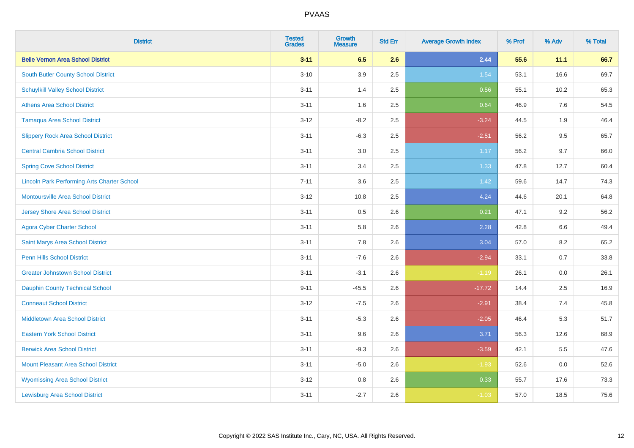| <b>District</b>                                    | <b>Tested</b><br><b>Grades</b> | <b>Growth</b><br><b>Measure</b> | <b>Std Err</b> | <b>Average Growth Index</b> | % Prof | % Adv   | % Total |
|----------------------------------------------------|--------------------------------|---------------------------------|----------------|-----------------------------|--------|---------|---------|
| <b>Belle Vernon Area School District</b>           | $3 - 11$                       | 6.5                             | 2.6            | 2.44                        | 55.6   | 11.1    | 66.7    |
| South Butler County School District                | $3 - 10$                       | 3.9                             | 2.5            | 1.54                        | 53.1   | 16.6    | 69.7    |
| <b>Schuylkill Valley School District</b>           | $3 - 11$                       | 1.4                             | 2.5            | 0.56                        | 55.1   | 10.2    | 65.3    |
| <b>Athens Area School District</b>                 | $3 - 11$                       | 1.6                             | 2.5            | 0.64                        | 46.9   | 7.6     | 54.5    |
| Tamaqua Area School District                       | $3 - 12$                       | $-8.2$                          | 2.5            | $-3.24$                     | 44.5   | 1.9     | 46.4    |
| <b>Slippery Rock Area School District</b>          | $3 - 11$                       | $-6.3$                          | 2.5            | $-2.51$                     | 56.2   | 9.5     | 65.7    |
| <b>Central Cambria School District</b>             | $3 - 11$                       | 3.0                             | 2.5            | 1.17                        | 56.2   | 9.7     | 66.0    |
| <b>Spring Cove School District</b>                 | $3 - 11$                       | 3.4                             | 2.5            | 1.33                        | 47.8   | 12.7    | 60.4    |
| <b>Lincoln Park Performing Arts Charter School</b> | $7 - 11$                       | 3.6                             | 2.5            | 1.42                        | 59.6   | 14.7    | 74.3    |
| <b>Montoursville Area School District</b>          | $3 - 12$                       | 10.8                            | 2.5            | 4.24                        | 44.6   | 20.1    | 64.8    |
| <b>Jersey Shore Area School District</b>           | $3 - 11$                       | 0.5                             | 2.6            | 0.21                        | 47.1   | 9.2     | 56.2    |
| <b>Agora Cyber Charter School</b>                  | $3 - 11$                       | 5.8                             | 2.6            | 2.28                        | 42.8   | 6.6     | 49.4    |
| Saint Marys Area School District                   | $3 - 11$                       | 7.8                             | 2.6            | 3.04                        | 57.0   | $8.2\,$ | 65.2    |
| <b>Penn Hills School District</b>                  | $3 - 11$                       | $-7.6$                          | 2.6            | $-2.94$                     | 33.1   | 0.7     | 33.8    |
| <b>Greater Johnstown School District</b>           | $3 - 11$                       | $-3.1$                          | 2.6            | $-1.19$                     | 26.1   | 0.0     | 26.1    |
| <b>Dauphin County Technical School</b>             | $9 - 11$                       | $-45.5$                         | 2.6            | $-17.72$                    | 14.4   | 2.5     | 16.9    |
| <b>Conneaut School District</b>                    | $3 - 12$                       | $-7.5$                          | 2.6            | $-2.91$                     | 38.4   | 7.4     | 45.8    |
| <b>Middletown Area School District</b>             | $3 - 11$                       | $-5.3$                          | 2.6            | $-2.05$                     | 46.4   | 5.3     | 51.7    |
| <b>Eastern York School District</b>                | $3 - 11$                       | 9.6                             | 2.6            | 3.71                        | 56.3   | 12.6    | 68.9    |
| <b>Berwick Area School District</b>                | $3 - 11$                       | $-9.3$                          | 2.6            | $-3.59$                     | 42.1   | 5.5     | 47.6    |
| <b>Mount Pleasant Area School District</b>         | $3 - 11$                       | $-5.0$                          | 2.6            | $-1.93$                     | 52.6   | 0.0     | 52.6    |
| <b>Wyomissing Area School District</b>             | $3-12$                         | $0.8\,$                         | 2.6            | 0.33                        | 55.7   | 17.6    | 73.3    |
| <b>Lewisburg Area School District</b>              | $3 - 11$                       | $-2.7$                          | 2.6            | $-1.03$                     | 57.0   | 18.5    | 75.6    |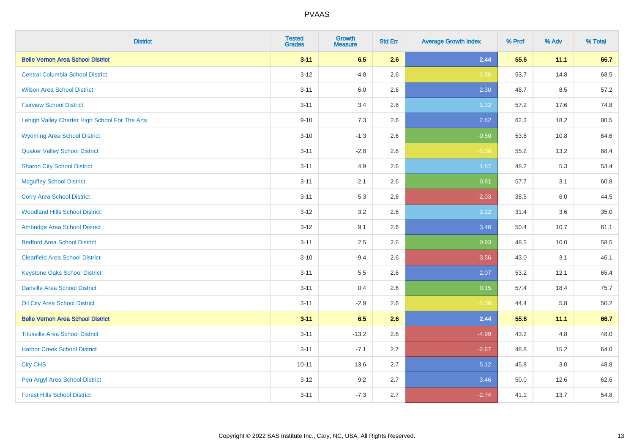| <b>District</b>                                | <b>Tested</b><br><b>Grades</b> | <b>Growth</b><br><b>Measure</b> | <b>Std Err</b> | <b>Average Growth Index</b> | % Prof | % Adv | % Total |
|------------------------------------------------|--------------------------------|---------------------------------|----------------|-----------------------------|--------|-------|---------|
| <b>Belle Vernon Area School District</b>       | $3 - 11$                       | 6.5                             | 2.6            | 2.44                        | 55.6   | 11.1  | 66.7    |
| <b>Central Columbia School District</b>        | $3 - 12$                       | $-4.8$                          | 2.6            | $-1.86$                     | 53.7   | 14.8  | 68.5    |
| <b>Wilson Area School District</b>             | $3 - 11$                       | 6.0                             | 2.6            | 2.30                        | 48.7   | 8.5   | 57.2    |
| <b>Fairview School District</b>                | $3 - 11$                       | 3.4                             | 2.6            | 1.32                        | 57.2   | 17.6  | 74.8    |
| Lehigh Valley Charter High School For The Arts | $9 - 10$                       | 7.3                             | 2.6            | 2.82                        | 62.3   | 18.2  | 80.5    |
| <b>Wyoming Area School District</b>            | $3 - 10$                       | $-1.3$                          | 2.6            | $-0.50$                     | 53.8   | 10.8  | 64.6    |
| <b>Quaker Valley School District</b>           | $3 - 11$                       | $-2.8$                          | 2.6            | $-1.08$                     | 55.2   | 13.2  | 68.4    |
| <b>Sharon City School District</b>             | $3 - 11$                       | 4.9                             | 2.6            | 1.87                        | 48.2   | 5.3   | 53.4    |
| <b>Mcguffey School District</b>                | $3 - 11$                       | 2.1                             | 2.6            | 0.81                        | 57.7   | 3.1   | 60.8    |
| <b>Corry Area School District</b>              | $3 - 11$                       | $-5.3$                          | 2.6            | $-2.03$                     | 38.5   | 6.0   | 44.5    |
| <b>Woodland Hills School District</b>          | $3-12$                         | 3.2                             | 2.6            | 1.22                        | 31.4   | 3.6   | 35.0    |
| Ambridge Area School District                  | $3 - 12$                       | 9.1                             | 2.6            | 3.46                        | 50.4   | 10.7  | 61.1    |
| <b>Bedford Area School District</b>            | $3 - 11$                       | 2.5                             | 2.6            | 0.93                        | 48.5   | 10.0  | 58.5    |
| <b>Clearfield Area School District</b>         | $3 - 10$                       | $-9.4$                          | 2.6            | $-3.56$                     | 43.0   | 3.1   | 46.1    |
| <b>Keystone Oaks School District</b>           | $3 - 11$                       | 5.5                             | 2.6            | 2.07                        | 53.2   | 12.1  | 65.4    |
| <b>Danville Area School District</b>           | $3 - 11$                       | 0.4                             | 2.6            | 0.15                        | 57.4   | 18.4  | 75.7    |
| Oil City Area School District                  | $3 - 11$                       | $-2.9$                          | 2.6            | $-1.08$                     | 44.4   | 5.8   | 50.2    |
| <b>Belle Vernon Area School District</b>       | $3 - 11$                       | 6.5                             | 2.6            | 2.44                        | 55.6   | 11.1  | 66.7    |
| <b>Titusville Area School District</b>         | $3 - 11$                       | $-13.2$                         | 2.6            | $-4.99$                     | 43.2   | 4.8   | 48.0    |
| <b>Harbor Creek School District</b>            | $3 - 11$                       | $-7.1$                          | 2.7            | $-2.67$                     | 48.8   | 15.2  | 64.0    |
| <b>City CHS</b>                                | $10 - 11$                      | 13.6                            | 2.7            | 5.12                        | 45.8   | 3.0   | 48.8    |
| Pen Argyl Area School District                 | $3 - 12$                       | 9.2                             | 2.7            | 3.46                        | 50.0   | 12.6  | 62.6    |
| <b>Forest Hills School District</b>            | $3 - 11$                       | $-7.3$                          | 2.7            | $-2.74$                     | 41.1   | 13.7  | 54.8    |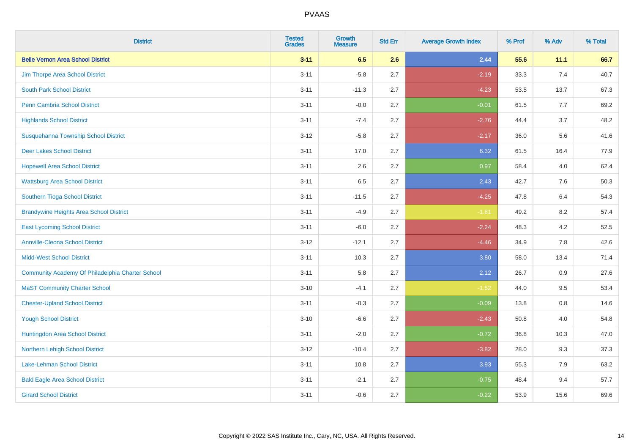| <b>District</b>                                  | <b>Tested</b><br><b>Grades</b> | <b>Growth</b><br><b>Measure</b> | <b>Std Err</b> | <b>Average Growth Index</b> | % Prof | % Adv   | % Total |
|--------------------------------------------------|--------------------------------|---------------------------------|----------------|-----------------------------|--------|---------|---------|
| <b>Belle Vernon Area School District</b>         | $3 - 11$                       | 6.5                             | 2.6            | 2.44                        | 55.6   | 11.1    | 66.7    |
| Jim Thorpe Area School District                  | $3 - 11$                       | $-5.8$                          | 2.7            | $-2.19$                     | 33.3   | 7.4     | 40.7    |
| <b>South Park School District</b>                | $3 - 11$                       | $-11.3$                         | 2.7            | $-4.23$                     | 53.5   | 13.7    | 67.3    |
| Penn Cambria School District                     | $3 - 11$                       | $-0.0$                          | 2.7            | $-0.01$                     | 61.5   | 7.7     | 69.2    |
| <b>Highlands School District</b>                 | $3 - 11$                       | $-7.4$                          | 2.7            | $-2.76$                     | 44.4   | 3.7     | 48.2    |
| Susquehanna Township School District             | $3 - 12$                       | $-5.8$                          | 2.7            | $-2.17$                     | 36.0   | 5.6     | 41.6    |
| <b>Deer Lakes School District</b>                | $3 - 11$                       | 17.0                            | 2.7            | 6.32                        | 61.5   | 16.4    | 77.9    |
| <b>Hopewell Area School District</b>             | $3 - 11$                       | 2.6                             | 2.7            | 0.97                        | 58.4   | 4.0     | 62.4    |
| <b>Wattsburg Area School District</b>            | $3 - 11$                       | 6.5                             | 2.7            | 2.43                        | 42.7   | 7.6     | 50.3    |
| Southern Tioga School District                   | $3 - 11$                       | $-11.5$                         | 2.7            | $-4.25$                     | 47.8   | 6.4     | 54.3    |
| <b>Brandywine Heights Area School District</b>   | $3 - 11$                       | $-4.9$                          | 2.7            | $-1.81$                     | 49.2   | 8.2     | 57.4    |
| <b>East Lycoming School District</b>             | $3 - 11$                       | $-6.0$                          | 2.7            | $-2.24$                     | 48.3   | 4.2     | 52.5    |
| <b>Annville-Cleona School District</b>           | $3 - 12$                       | $-12.1$                         | 2.7            | $-4.46$                     | 34.9   | $7.8\,$ | 42.6    |
| <b>Midd-West School District</b>                 | $3 - 11$                       | 10.3                            | 2.7            | 3.80                        | 58.0   | 13.4    | 71.4    |
| Community Academy Of Philadelphia Charter School | $3 - 11$                       | 5.8                             | 2.7            | 2.12                        | 26.7   | 0.9     | 27.6    |
| <b>MaST Community Charter School</b>             | $3 - 10$                       | $-4.1$                          | 2.7            | $-1.52$                     | 44.0   | 9.5     | 53.4    |
| <b>Chester-Upland School District</b>            | $3 - 11$                       | $-0.3$                          | 2.7            | $-0.09$                     | 13.8   | $0.8\,$ | 14.6    |
| <b>Yough School District</b>                     | $3 - 10$                       | $-6.6$                          | 2.7            | $-2.43$                     | 50.8   | 4.0     | 54.8    |
| Huntingdon Area School District                  | $3 - 11$                       | $-2.0$                          | 2.7            | $-0.72$                     | 36.8   | 10.3    | 47.0    |
| Northern Lehigh School District                  | $3 - 12$                       | $-10.4$                         | 2.7            | $-3.82$                     | 28.0   | 9.3     | 37.3    |
| Lake-Lehman School District                      | $3 - 11$                       | 10.8                            | 2.7            | 3.93                        | 55.3   | 7.9     | 63.2    |
| <b>Bald Eagle Area School District</b>           | $3 - 11$                       | $-2.1$                          | 2.7            | $-0.75$                     | 48.4   | 9.4     | 57.7    |
| <b>Girard School District</b>                    | $3 - 11$                       | $-0.6$                          | 2.7            | $-0.22$                     | 53.9   | 15.6    | 69.6    |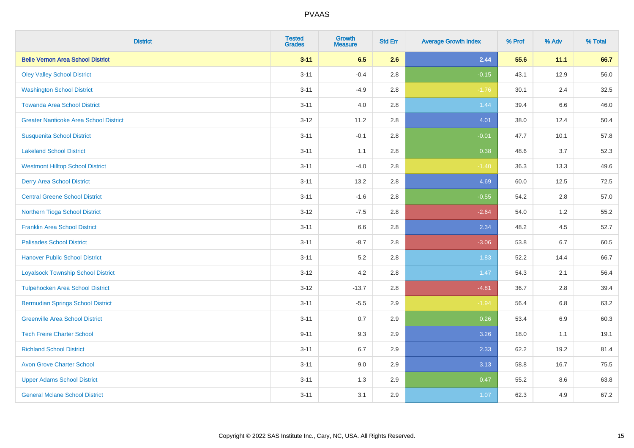| <b>District</b>                               | <b>Tested</b><br><b>Grades</b> | <b>Growth</b><br><b>Measure</b> | <b>Std Err</b> | <b>Average Growth Index</b> | % Prof | % Adv   | % Total |
|-----------------------------------------------|--------------------------------|---------------------------------|----------------|-----------------------------|--------|---------|---------|
| <b>Belle Vernon Area School District</b>      | $3 - 11$                       | 6.5                             | 2.6            | 2.44                        | 55.6   | 11.1    | 66.7    |
| <b>Oley Valley School District</b>            | $3 - 11$                       | $-0.4$                          | 2.8            | $-0.15$                     | 43.1   | 12.9    | 56.0    |
| <b>Washington School District</b>             | $3 - 11$                       | $-4.9$                          | 2.8            | $-1.76$                     | 30.1   | 2.4     | 32.5    |
| <b>Towanda Area School District</b>           | $3 - 11$                       | 4.0                             | 2.8            | 1.44                        | 39.4   | $6.6\,$ | 46.0    |
| <b>Greater Nanticoke Area School District</b> | $3 - 12$                       | 11.2                            | 2.8            | 4.01                        | 38.0   | 12.4    | 50.4    |
| <b>Susquenita School District</b>             | $3 - 11$                       | $-0.1$                          | 2.8            | $-0.01$                     | 47.7   | 10.1    | 57.8    |
| <b>Lakeland School District</b>               | $3 - 11$                       | 1.1                             | 2.8            | 0.38                        | 48.6   | 3.7     | 52.3    |
| <b>Westmont Hilltop School District</b>       | $3 - 11$                       | $-4.0$                          | 2.8            | $-1.40$                     | 36.3   | 13.3    | 49.6    |
| <b>Derry Area School District</b>             | $3 - 11$                       | 13.2                            | 2.8            | 4.69                        | 60.0   | 12.5    | 72.5    |
| <b>Central Greene School District</b>         | $3 - 11$                       | $-1.6$                          | 2.8            | $-0.55$                     | 54.2   | 2.8     | 57.0    |
| Northern Tioga School District                | $3 - 12$                       | $-7.5$                          | 2.8            | $-2.64$                     | 54.0   | 1.2     | 55.2    |
| <b>Franklin Area School District</b>          | $3 - 11$                       | 6.6                             | 2.8            | 2.34                        | 48.2   | 4.5     | 52.7    |
| <b>Palisades School District</b>              | $3 - 11$                       | $-8.7$                          | 2.8            | $-3.06$                     | 53.8   | 6.7     | 60.5    |
| <b>Hanover Public School District</b>         | $3 - 11$                       | 5.2                             | 2.8            | 1.83                        | 52.2   | 14.4    | 66.7    |
| <b>Loyalsock Township School District</b>     | $3 - 12$                       | 4.2                             | 2.8            | 1.47                        | 54.3   | 2.1     | 56.4    |
| <b>Tulpehocken Area School District</b>       | $3 - 12$                       | $-13.7$                         | 2.8            | $-4.81$                     | 36.7   | 2.8     | 39.4    |
| <b>Bermudian Springs School District</b>      | $3 - 11$                       | $-5.5$                          | 2.9            | $-1.94$                     | 56.4   | 6.8     | 63.2    |
| <b>Greenville Area School District</b>        | $3 - 11$                       | 0.7                             | 2.9            | 0.26                        | 53.4   | 6.9     | 60.3    |
| <b>Tech Freire Charter School</b>             | $9 - 11$                       | 9.3                             | 2.9            | 3.26                        | 18.0   | 1.1     | 19.1    |
| <b>Richland School District</b>               | $3 - 11$                       | 6.7                             | 2.9            | 2.33                        | 62.2   | 19.2    | 81.4    |
| <b>Avon Grove Charter School</b>              | $3 - 11$                       | 9.0                             | 2.9            | 3.13                        | 58.8   | 16.7    | 75.5    |
| <b>Upper Adams School District</b>            | $3 - 11$                       | 1.3                             | 2.9            | 0.47                        | 55.2   | 8.6     | 63.8    |
| <b>General Mclane School District</b>         | $3 - 11$                       | 3.1                             | 2.9            | 1.07                        | 62.3   | 4.9     | 67.2    |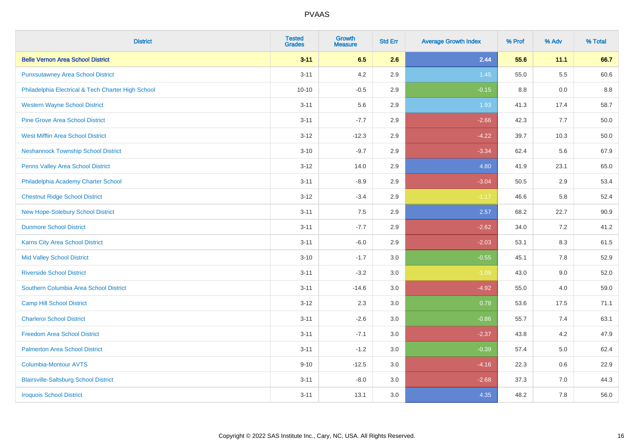| <b>District</b>                                    | <b>Tested</b><br><b>Grades</b> | <b>Growth</b><br><b>Measure</b> | <b>Std Err</b> | <b>Average Growth Index</b> | % Prof | % Adv   | % Total |
|----------------------------------------------------|--------------------------------|---------------------------------|----------------|-----------------------------|--------|---------|---------|
| <b>Belle Vernon Area School District</b>           | $3 - 11$                       | 6.5                             | 2.6            | 2.44                        | 55.6   | 11.1    | 66.7    |
| <b>Punxsutawney Area School District</b>           | $3 - 11$                       | 4.2                             | 2.9            | 1.45                        | 55.0   | 5.5     | 60.6    |
| Philadelphia Electrical & Tech Charter High School | $10 - 10$                      | $-0.5$                          | 2.9            | $-0.15$                     | 8.8    | 0.0     | 8.8     |
| <b>Western Wayne School District</b>               | $3 - 11$                       | 5.6                             | 2.9            | 1.93                        | 41.3   | 17.4    | 58.7    |
| <b>Pine Grove Area School District</b>             | $3 - 11$                       | $-7.7$                          | 2.9            | $-2.66$                     | 42.3   | 7.7     | 50.0    |
| <b>West Mifflin Area School District</b>           | $3 - 12$                       | $-12.3$                         | 2.9            | $-4.22$                     | 39.7   | 10.3    | 50.0    |
| <b>Neshannock Township School District</b>         | $3 - 10$                       | $-9.7$                          | 2.9            | $-3.34$                     | 62.4   | 5.6     | 67.9    |
| <b>Penns Valley Area School District</b>           | $3 - 12$                       | 14.0                            | 2.9            | 4.80                        | 41.9   | 23.1    | 65.0    |
| Philadelphia Academy Charter School                | $3 - 11$                       | $-8.9$                          | 2.9            | $-3.04$                     | 50.5   | 2.9     | 53.4    |
| <b>Chestnut Ridge School District</b>              | $3 - 12$                       | $-3.4$                          | 2.9            | $-1.17$                     | 46.6   | 5.8     | 52.4    |
| New Hope-Solebury School District                  | $3 - 11$                       | 7.5                             | 2.9            | 2.57                        | 68.2   | 22.7    | 90.9    |
| <b>Dunmore School District</b>                     | $3 - 11$                       | $-7.7$                          | 2.9            | $-2.62$                     | 34.0   | 7.2     | 41.2    |
| Karns City Area School District                    | $3 - 11$                       | $-6.0$                          | 2.9            | $-2.03$                     | 53.1   | $8.3\,$ | 61.5    |
| <b>Mid Valley School District</b>                  | $3 - 10$                       | $-1.7$                          | 3.0            | $-0.55$                     | 45.1   | $7.8\,$ | 52.9    |
| <b>Riverside School District</b>                   | $3 - 11$                       | $-3.2$                          | 3.0            | $-1.09$                     | 43.0   | 9.0     | 52.0    |
| Southern Columbia Area School District             | $3 - 11$                       | $-14.6$                         | 3.0            | $-4.92$                     | 55.0   | 4.0     | 59.0    |
| <b>Camp Hill School District</b>                   | $3 - 12$                       | 2.3                             | 3.0            | 0.78                        | 53.6   | 17.5    | 71.1    |
| <b>Charleroi School District</b>                   | $3 - 11$                       | $-2.6$                          | 3.0            | $-0.86$                     | 55.7   | 7.4     | 63.1    |
| <b>Freedom Area School District</b>                | $3 - 11$                       | $-7.1$                          | 3.0            | $-2.37$                     | 43.8   | 4.2     | 47.9    |
| <b>Palmerton Area School District</b>              | $3 - 11$                       | $-1.2$                          | 3.0            | $-0.39$                     | 57.4   | 5.0     | 62.4    |
| <b>Columbia-Montour AVTS</b>                       | $9 - 10$                       | $-12.5$                         | 3.0            | $-4.16$                     | 22.3   | 0.6     | 22.9    |
| <b>Blairsville-Saltsburg School District</b>       | $3 - 11$                       | $-8.0$                          | 3.0            | $-2.68$                     | 37.3   | 7.0     | 44.3    |
| <b>Iroquois School District</b>                    | $3 - 11$                       | 13.1                            | 3.0            | 4.35                        | 48.2   | 7.8     | 56.0    |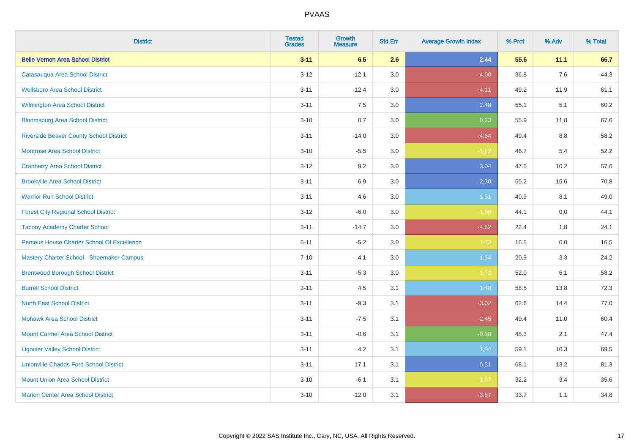| <b>District</b>                                | <b>Tested</b><br><b>Grades</b> | <b>Growth</b><br><b>Measure</b> | <b>Std Err</b> | <b>Average Growth Index</b> | % Prof | % Adv | % Total |
|------------------------------------------------|--------------------------------|---------------------------------|----------------|-----------------------------|--------|-------|---------|
| <b>Belle Vernon Area School District</b>       | $3 - 11$                       | 6.5                             | 2.6            | 2.44                        | 55.6   | 11.1  | 66.7    |
| Catasauqua Area School District                | $3 - 12$                       | $-12.1$                         | 3.0            | $-4.00$                     | 36.8   | 7.6   | 44.3    |
| <b>Wellsboro Area School District</b>          | $3 - 11$                       | $-12.4$                         | 3.0            | $-4.11$                     | 49.2   | 11.9  | 61.1    |
| <b>Wilmington Area School District</b>         | $3 - 11$                       | 7.5                             | 3.0            | 2.48                        | 55.1   | 5.1   | 60.2    |
| <b>Bloomsburg Area School District</b>         | $3 - 10$                       | 0.7                             | 3.0            | 0.23                        | 55.9   | 11.8  | 67.6    |
| <b>Riverside Beaver County School District</b> | $3 - 11$                       | $-14.0$                         | 3.0            | $-4.64$                     | 49.4   | 8.8   | 58.2    |
| <b>Montrose Area School District</b>           | $3 - 10$                       | $-5.5$                          | 3.0            | $-1.82$                     | 46.7   | 5.4   | 52.2    |
| <b>Cranberry Area School District</b>          | $3 - 12$                       | 9.2                             | 3.0            | 3.04                        | 47.5   | 10.2  | 57.6    |
| <b>Brookville Area School District</b>         | $3 - 11$                       | 6.9                             | 3.0            | 2.30                        | 55.2   | 15.6  | 70.8    |
| <b>Warrior Run School District</b>             | $3 - 11$                       | 4.6                             | 3.0            | 1.51                        | 40.9   | 8.1   | 49.0    |
| <b>Forest City Regional School District</b>    | $3 - 12$                       | $-6.0$                          | 3.0            | $-1.96$                     | 44.1   | 0.0   | 44.1    |
| <b>Tacony Academy Charter School</b>           | $3 - 11$                       | $-14.7$                         | 3.0            | $-4.82$                     | 22.4   | 1.8   | 24.1    |
| Perseus House Charter School Of Excellence     | $6 - 11$                       | $-5.2$                          | 3.0            | $-1.72$                     | 16.5   | 0.0   | 16.5    |
| Mastery Charter School - Shoemaker Campus      | $7 - 10$                       | 4.1                             | 3.0            | 1.34                        | 20.9   | 3.3   | 24.2    |
| <b>Brentwood Borough School District</b>       | $3 - 11$                       | $-5.3$                          | 3.0            | $-1.72$                     | 52.0   | 6.1   | 58.2    |
| <b>Burrell School District</b>                 | $3 - 11$                       | 4.5                             | 3.1            | 1.48                        | 58.5   | 13.8  | 72.3    |
| <b>North East School District</b>              | $3 - 11$                       | $-9.3$                          | 3.1            | $-3.02$                     | 62.6   | 14.4  | 77.0    |
| <b>Mohawk Area School District</b>             | $3 - 11$                       | $-7.5$                          | 3.1            | $-2.45$                     | 49.4   | 11.0  | 60.4    |
| <b>Mount Carmel Area School District</b>       | $3 - 11$                       | $-0.6$                          | 3.1            | $-0.18$                     | 45.3   | 2.1   | 47.4    |
| <b>Ligonier Valley School District</b>         | $3 - 11$                       | 4.2                             | 3.1            | 1.34                        | 59.1   | 10.3  | 69.5    |
| <b>Unionville-Chadds Ford School District</b>  | $3 - 11$                       | 17.1                            | 3.1            | 5.51                        | 68.1   | 13.2  | 81.3    |
| <b>Mount Union Area School District</b>        | $3 - 10$                       | $-6.1$                          | 3.1            | $-1.97$                     | 32.2   | 3.4   | 35.6    |
| <b>Marion Center Area School District</b>      | $3 - 10$                       | $-12.0$                         | 3.1            | $-3.87$                     | 33.7   | 1.1   | 34.8    |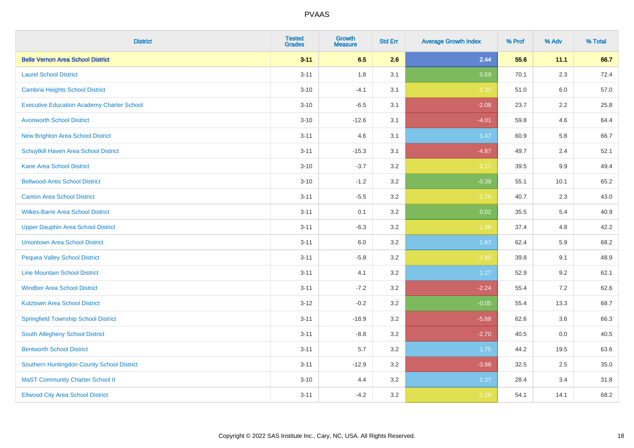| <b>District</b>                                   | <b>Tested</b><br><b>Grades</b> | <b>Growth</b><br><b>Measure</b> | <b>Std Err</b> | <b>Average Growth Index</b> | % Prof | % Adv   | % Total |
|---------------------------------------------------|--------------------------------|---------------------------------|----------------|-----------------------------|--------|---------|---------|
| <b>Belle Vernon Area School District</b>          | $3 - 11$                       | 6.5                             | 2.6            | 2.44                        | 55.6   | 11.1    | 66.7    |
| <b>Laurel School District</b>                     | $3 - 11$                       | 1.8                             | 3.1            | 0.59                        | 70.1   | 2.3     | 72.4    |
| Cambria Heights School District                   | $3 - 10$                       | $-4.1$                          | 3.1            | $-1.32$                     | 51.0   | 6.0     | 57.0    |
| <b>Executive Education Academy Charter School</b> | $3 - 10$                       | $-6.5$                          | 3.1            | $-2.08$                     | 23.7   | $2.2\,$ | 25.8    |
| <b>Avonworth School District</b>                  | $3 - 10$                       | $-12.6$                         | 3.1            | $-4.01$                     | 59.8   | 4.6     | 64.4    |
| <b>New Brighton Area School District</b>          | $3 - 11$                       | 4.6                             | 3.1            | 1.47                        | 60.9   | 5.8     | 66.7    |
| Schuylkill Haven Area School District             | $3 - 11$                       | $-15.3$                         | 3.1            | $-4.87$                     | 49.7   | 2.4     | 52.1    |
| <b>Kane Area School District</b>                  | $3 - 10$                       | $-3.7$                          | 3.2            | $-1.17$                     | 39.5   | 9.9     | 49.4    |
| <b>Bellwood-Antis School District</b>             | $3 - 10$                       | $-1.2$                          | 3.2            | $-0.39$                     | 55.1   | 10.1    | 65.2    |
| <b>Canton Area School District</b>                | $3 - 11$                       | $-5.5$                          | 3.2            | $-1.75$                     | 40.7   | 2.3     | 43.0    |
| <b>Wilkes-Barre Area School District</b>          | $3 - 11$                       | 0.1                             | 3.2            | 0.02                        | 35.5   | 5.4     | 40.9    |
| <b>Upper Dauphin Area School District</b>         | $3 - 11$                       | $-6.3$                          | 3.2            | $-1.98$                     | 37.4   | 4.8     | 42.2    |
| <b>Uniontown Area School District</b>             | $3 - 11$                       | 6.0                             | $3.2\,$        | 1.87                        | 62.4   | 5.9     | 68.2    |
| <b>Pequea Valley School District</b>              | $3 - 11$                       | $-5.8$                          | 3.2            | $-1.80$                     | 39.8   | 9.1     | 48.9    |
| <b>Line Mountain School District</b>              | $3 - 11$                       | 4.1                             | 3.2            | 1.27                        | 52.9   | 9.2     | 62.1    |
| <b>Windber Area School District</b>               | $3 - 11$                       | $-7.2$                          | 3.2            | $-2.24$                     | 55.4   | 7.2     | 62.6    |
| <b>Kutztown Area School District</b>              | $3 - 12$                       | $-0.2$                          | 3.2            | $-0.05$                     | 55.4   | 13.3    | 68.7    |
| <b>Springfield Township School District</b>       | $3 - 11$                       | $-18.9$                         | 3.2            | $-5.88$                     | 62.6   | 3.6     | 66.3    |
| South Allegheny School District                   | $3 - 11$                       | $-8.8$                          | 3.2            | $-2.70$                     | 40.5   | 0.0     | 40.5    |
| <b>Bentworth School District</b>                  | $3 - 11$                       | 5.7                             | 3.2            | 1.75                        | 44.2   | 19.5    | 63.6    |
| Southern Huntingdon County School District        | $3 - 11$                       | $-12.9$                         | 3.2            | $-3.98$                     | 32.5   | 2.5     | 35.0    |
| <b>MaST Community Charter School II</b>           | $3 - 10$                       | 4.4                             | 3.2            | 1.37                        | 28.4   | 3.4     | 31.8    |
| <b>Ellwood City Area School District</b>          | $3 - 11$                       | $-4.2$                          | 3.2            | $-1.29$                     | 54.1   | 14.1    | 68.2    |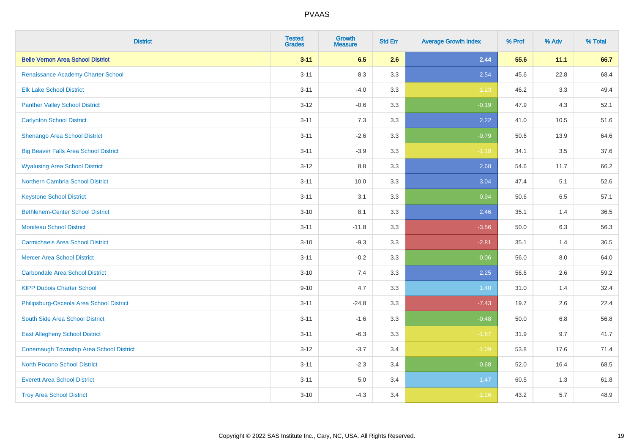| <b>District</b>                              | <b>Tested</b><br><b>Grades</b> | <b>Growth</b><br><b>Measure</b> | <b>Std Err</b> | <b>Average Growth Index</b> | % Prof | % Adv | % Total |
|----------------------------------------------|--------------------------------|---------------------------------|----------------|-----------------------------|--------|-------|---------|
| <b>Belle Vernon Area School District</b>     | $3 - 11$                       | 6.5                             | 2.6            | 2.44                        | 55.6   | 11.1  | 66.7    |
| Renaissance Academy Charter School           | $3 - 11$                       | 8.3                             | 3.3            | 2.54                        | 45.6   | 22.8  | 68.4    |
| <b>Elk Lake School District</b>              | $3 - 11$                       | $-4.0$                          | 3.3            | $-1.23$                     | 46.2   | 3.3   | 49.4    |
| <b>Panther Valley School District</b>        | $3 - 12$                       | $-0.6$                          | 3.3            | $-0.19$                     | 47.9   | 4.3   | 52.1    |
| <b>Carlynton School District</b>             | $3 - 11$                       | 7.3                             | 3.3            | 2.22                        | 41.0   | 10.5  | 51.6    |
| Shenango Area School District                | $3 - 11$                       | $-2.6$                          | 3.3            | $-0.79$                     | 50.6   | 13.9  | 64.6    |
| <b>Big Beaver Falls Area School District</b> | $3 - 11$                       | $-3.9$                          | 3.3            | $-1.18$                     | 34.1   | 3.5   | 37.6    |
| <b>Wyalusing Area School District</b>        | $3-12$                         | 8.8                             | 3.3            | 2.68                        | 54.6   | 11.7  | 66.2    |
| <b>Northern Cambria School District</b>      | $3 - 11$                       | 10.0                            | 3.3            | 3.04                        | 47.4   | 5.1   | 52.6    |
| <b>Keystone School District</b>              | $3 - 11$                       | 3.1                             | 3.3            | 0.94                        | 50.6   | 6.5   | 57.1    |
| <b>Bethlehem-Center School District</b>      | $3 - 10$                       | 8.1                             | 3.3            | 2.46                        | 35.1   | 1.4   | 36.5    |
| <b>Moniteau School District</b>              | $3 - 11$                       | $-11.8$                         | 3.3            | $-3.56$                     | 50.0   | 6.3   | 56.3    |
| <b>Carmichaels Area School District</b>      | $3 - 10$                       | $-9.3$                          | 3.3            | $-2.81$                     | 35.1   | 1.4   | 36.5    |
| <b>Mercer Area School District</b>           | $3 - 11$                       | $-0.2$                          | 3.3            | $-0.06$                     | 56.0   | 8.0   | 64.0    |
| <b>Carbondale Area School District</b>       | $3 - 10$                       | 7.4                             | 3.3            | 2.25                        | 56.6   | 2.6   | 59.2    |
| <b>KIPP Dubois Charter School</b>            | $9 - 10$                       | 4.7                             | 3.3            | 1.40                        | 31.0   | 1.4   | 32.4    |
| Philipsburg-Osceola Area School District     | $3 - 11$                       | $-24.8$                         | 3.3            | $-7.43$                     | 19.7   | 2.6   | 22.4    |
| South Side Area School District              | $3 - 11$                       | $-1.6$                          | 3.3            | $-0.48$                     | 50.0   | 6.8   | 56.8    |
| <b>East Allegheny School District</b>        | $3 - 11$                       | $-6.3$                          | 3.3            | $-1.87$                     | 31.9   | 9.7   | 41.7    |
| Conemaugh Township Area School District      | $3 - 12$                       | $-3.7$                          | 3.4            | $-1.09$                     | 53.8   | 17.6  | 71.4    |
| <b>North Pocono School District</b>          | $3 - 11$                       | $-2.3$                          | 3.4            | $-0.68$                     | 52.0   | 16.4  | 68.5    |
| <b>Everett Area School District</b>          | $3 - 11$                       | $5.0\,$                         | 3.4            | 1.47                        | 60.5   | 1.3   | 61.8    |
| <b>Troy Area School District</b>             | $3 - 10$                       | $-4.3$                          | 3.4            | $-1.26$                     | 43.2   | 5.7   | 48.9    |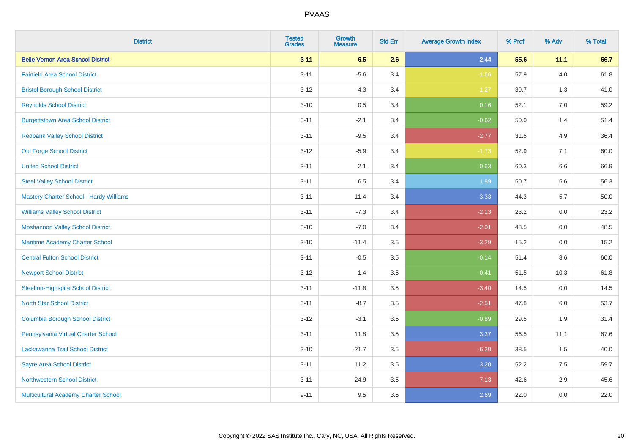| <b>District</b>                                | <b>Tested</b><br><b>Grades</b> | <b>Growth</b><br><b>Measure</b> | <b>Std Err</b> | <b>Average Growth Index</b> | % Prof | % Adv   | % Total |
|------------------------------------------------|--------------------------------|---------------------------------|----------------|-----------------------------|--------|---------|---------|
| <b>Belle Vernon Area School District</b>       | $3 - 11$                       | 6.5                             | 2.6            | 2.44                        | 55.6   | 11.1    | 66.7    |
| <b>Fairfield Area School District</b>          | $3 - 11$                       | $-5.6$                          | 3.4            | $-1.66$                     | 57.9   | $4.0\,$ | 61.8    |
| <b>Bristol Borough School District</b>         | $3 - 12$                       | $-4.3$                          | 3.4            | $-1.27$                     | 39.7   | 1.3     | 41.0    |
| <b>Reynolds School District</b>                | $3 - 10$                       | 0.5                             | 3.4            | 0.16                        | 52.1   | 7.0     | 59.2    |
| <b>Burgettstown Area School District</b>       | $3 - 11$                       | $-2.1$                          | 3.4            | $-0.62$                     | 50.0   | 1.4     | 51.4    |
| <b>Redbank Valley School District</b>          | $3 - 11$                       | $-9.5$                          | 3.4            | $-2.77$                     | 31.5   | 4.9     | 36.4    |
| <b>Old Forge School District</b>               | $3 - 12$                       | $-5.9$                          | 3.4            | $-1.73$                     | 52.9   | 7.1     | 60.0    |
| <b>United School District</b>                  | $3 - 11$                       | 2.1                             | 3.4            | 0.63                        | 60.3   | 6.6     | 66.9    |
| <b>Steel Valley School District</b>            | $3 - 11$                       | 6.5                             | 3.4            | 1.89                        | 50.7   | 5.6     | 56.3    |
| <b>Mastery Charter School - Hardy Williams</b> | $3 - 11$                       | 11.4                            | 3.4            | 3.33                        | 44.3   | 5.7     | 50.0    |
| <b>Williams Valley School District</b>         | $3 - 11$                       | $-7.3$                          | 3.4            | $-2.13$                     | 23.2   | 0.0     | 23.2    |
| <b>Moshannon Valley School District</b>        | $3 - 10$                       | $-7.0$                          | 3.4            | $-2.01$                     | 48.5   | 0.0     | 48.5    |
| Maritime Academy Charter School                | $3 - 10$                       | $-11.4$                         | 3.5            | $-3.29$                     | 15.2   | $0.0\,$ | 15.2    |
| <b>Central Fulton School District</b>          | $3 - 11$                       | $-0.5$                          | 3.5            | $-0.14$                     | 51.4   | 8.6     | 60.0    |
| <b>Newport School District</b>                 | $3 - 12$                       | 1.4                             | 3.5            | 0.41                        | 51.5   | 10.3    | 61.8    |
| <b>Steelton-Highspire School District</b>      | $3 - 11$                       | $-11.8$                         | 3.5            | $-3.40$                     | 14.5   | $0.0\,$ | 14.5    |
| <b>North Star School District</b>              | $3 - 11$                       | $-8.7$                          | 3.5            | $-2.51$                     | 47.8   | 6.0     | 53.7    |
| <b>Columbia Borough School District</b>        | $3 - 12$                       | $-3.1$                          | 3.5            | $-0.89$                     | 29.5   | 1.9     | 31.4    |
| Pennsylvania Virtual Charter School            | $3 - 11$                       | 11.8                            | 3.5            | 3.37                        | 56.5   | 11.1    | 67.6    |
| Lackawanna Trail School District               | $3 - 10$                       | $-21.7$                         | 3.5            | $-6.20$                     | 38.5   | 1.5     | 40.0    |
| <b>Sayre Area School District</b>              | $3 - 11$                       | 11.2                            | 3.5            | 3.20                        | 52.2   | 7.5     | 59.7    |
| <b>Northwestern School District</b>            | $3 - 11$                       | $-24.9$                         | 3.5            | $-7.13$                     | 42.6   | 2.9     | 45.6    |
| Multicultural Academy Charter School           | $9 - 11$                       | 9.5                             | 3.5            | 2.69                        | 22.0   | 0.0     | 22.0    |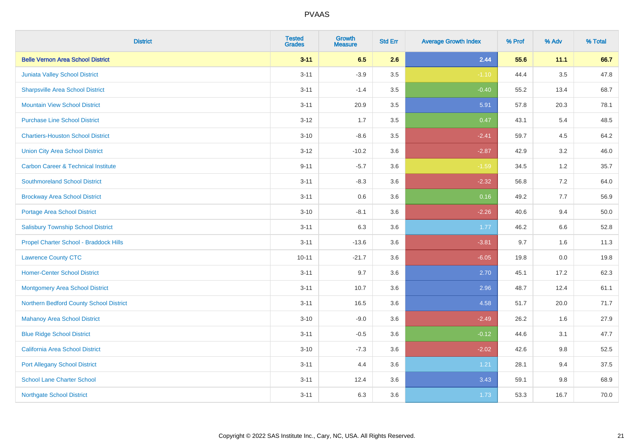| <b>District</b>                                | <b>Tested</b><br><b>Grades</b> | <b>Growth</b><br><b>Measure</b> | <b>Std Err</b> | <b>Average Growth Index</b> | % Prof | % Adv   | % Total |
|------------------------------------------------|--------------------------------|---------------------------------|----------------|-----------------------------|--------|---------|---------|
| <b>Belle Vernon Area School District</b>       | $3 - 11$                       | 6.5                             | 2.6            | 2.44                        | 55.6   | 11.1    | 66.7    |
| Juniata Valley School District                 | $3 - 11$                       | $-3.9$                          | 3.5            | $-1.10$                     | 44.4   | $3.5\,$ | 47.8    |
| <b>Sharpsville Area School District</b>        | $3 - 11$                       | $-1.4$                          | 3.5            | $-0.40$                     | 55.2   | 13.4    | 68.7    |
| <b>Mountain View School District</b>           | $3 - 11$                       | 20.9                            | 3.5            | 5.91                        | 57.8   | 20.3    | 78.1    |
| <b>Purchase Line School District</b>           | $3-12$                         | 1.7                             | 3.5            | 0.47                        | 43.1   | 5.4     | 48.5    |
| <b>Chartiers-Houston School District</b>       | $3 - 10$                       | $-8.6$                          | 3.5            | $-2.41$                     | 59.7   | 4.5     | 64.2    |
| <b>Union City Area School District</b>         | $3 - 12$                       | $-10.2$                         | 3.6            | $-2.87$                     | 42.9   | 3.2     | 46.0    |
| <b>Carbon Career &amp; Technical Institute</b> | $9 - 11$                       | $-5.7$                          | 3.6            | $-1.59$                     | 34.5   | 1.2     | 35.7    |
| <b>Southmoreland School District</b>           | $3 - 11$                       | $-8.3$                          | 3.6            | $-2.32$                     | 56.8   | 7.2     | 64.0    |
| <b>Brockway Area School District</b>           | $3 - 11$                       | 0.6                             | 3.6            | 0.16                        | 49.2   | 7.7     | 56.9    |
| Portage Area School District                   | $3 - 10$                       | $-8.1$                          | 3.6            | $-2.26$                     | 40.6   | 9.4     | 50.0    |
| <b>Salisbury Township School District</b>      | $3 - 11$                       | 6.3                             | 3.6            | 1.77                        | 46.2   | 6.6     | 52.8    |
| Propel Charter School - Braddock Hills         | $3 - 11$                       | $-13.6$                         | 3.6            | $-3.81$                     | 9.7    | 1.6     | 11.3    |
| <b>Lawrence County CTC</b>                     | $10 - 11$                      | $-21.7$                         | 3.6            | $-6.05$                     | 19.8   | $0.0\,$ | 19.8    |
| <b>Homer-Center School District</b>            | $3 - 11$                       | 9.7                             | 3.6            | 2.70                        | 45.1   | 17.2    | 62.3    |
| <b>Montgomery Area School District</b>         | $3 - 11$                       | 10.7                            | 3.6            | 2.96                        | 48.7   | 12.4    | 61.1    |
| Northern Bedford County School District        | $3 - 11$                       | 16.5                            | 3.6            | 4.58                        | 51.7   | 20.0    | 71.7    |
| <b>Mahanoy Area School District</b>            | $3 - 10$                       | $-9.0$                          | 3.6            | $-2.49$                     | 26.2   | 1.6     | 27.9    |
| <b>Blue Ridge School District</b>              | $3 - 11$                       | $-0.5$                          | 3.6            | $-0.12$                     | 44.6   | 3.1     | 47.7    |
| California Area School District                | $3 - 10$                       | $-7.3$                          | 3.6            | $-2.02$                     | 42.6   | 9.8     | 52.5    |
| <b>Port Allegany School District</b>           | $3 - 11$                       | 4.4                             | 3.6            | 1.21                        | 28.1   | 9.4     | 37.5    |
| <b>School Lane Charter School</b>              | $3 - 11$                       | 12.4                            | 3.6            | 3.43                        | 59.1   | 9.8     | 68.9    |
| <b>Northgate School District</b>               | $3 - 11$                       | 6.3                             | 3.6            | 1.73                        | 53.3   | 16.7    | 70.0    |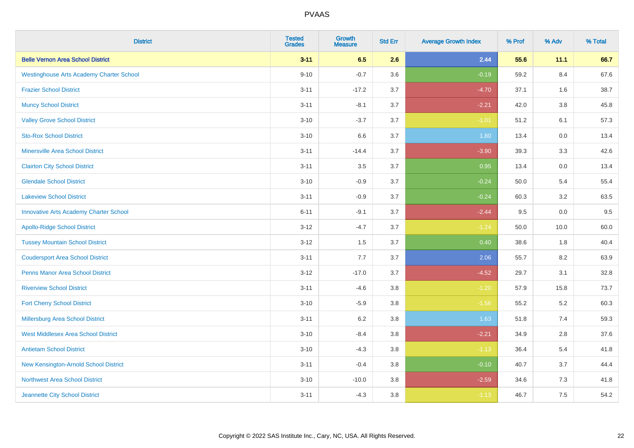| <b>District</b>                                 | <b>Tested</b><br><b>Grades</b> | <b>Growth</b><br><b>Measure</b> | <b>Std Err</b> | <b>Average Growth Index</b> | % Prof | % Adv   | % Total |
|-------------------------------------------------|--------------------------------|---------------------------------|----------------|-----------------------------|--------|---------|---------|
| <b>Belle Vernon Area School District</b>        | $3 - 11$                       | 6.5                             | 2.6            | 2.44                        | 55.6   | 11.1    | 66.7    |
| <b>Westinghouse Arts Academy Charter School</b> | $9 - 10$                       | $-0.7$                          | 3.6            | $-0.19$                     | 59.2   | 8.4     | 67.6    |
| <b>Frazier School District</b>                  | $3 - 11$                       | $-17.2$                         | 3.7            | $-4.70$                     | 37.1   | 1.6     | 38.7    |
| <b>Muncy School District</b>                    | $3 - 11$                       | $-8.1$                          | 3.7            | $-2.21$                     | 42.0   | $3.8\,$ | 45.8    |
| <b>Valley Grove School District</b>             | $3 - 10$                       | $-3.7$                          | 3.7            | $-1.01$                     | 51.2   | 6.1     | 57.3    |
| <b>Sto-Rox School District</b>                  | $3 - 10$                       | 6.6                             | 3.7            | 1.80                        | 13.4   | 0.0     | 13.4    |
| <b>Minersville Area School District</b>         | $3 - 11$                       | $-14.4$                         | 3.7            | $-3.90$                     | 39.3   | 3.3     | 42.6    |
| <b>Clairton City School District</b>            | $3 - 11$                       | 3.5                             | 3.7            | 0.95                        | 13.4   | 0.0     | 13.4    |
| <b>Glendale School District</b>                 | $3 - 10$                       | $-0.9$                          | 3.7            | $-0.24$                     | 50.0   | 5.4     | 55.4    |
| <b>Lakeview School District</b>                 | $3 - 11$                       | $-0.9$                          | 3.7            | $-0.24$                     | 60.3   | $3.2\,$ | 63.5    |
| <b>Innovative Arts Academy Charter School</b>   | $6 - 11$                       | $-9.1$                          | 3.7            | $-2.44$                     | 9.5    | 0.0     | 9.5     |
| <b>Apollo-Ridge School District</b>             | $3 - 12$                       | $-4.7$                          | 3.7            | $-1.24$                     | 50.0   | 10.0    | 60.0    |
| <b>Tussey Mountain School District</b>          | $3 - 12$                       | 1.5                             | 3.7            | 0.40                        | 38.6   | 1.8     | 40.4    |
| <b>Coudersport Area School District</b>         | $3 - 11$                       | $7.7\,$                         | 3.7            | 2.06                        | 55.7   | 8.2     | 63.9    |
| <b>Penns Manor Area School District</b>         | $3 - 12$                       | $-17.0$                         | 3.7            | $-4.52$                     | 29.7   | 3.1     | 32.8    |
| <b>Riverview School District</b>                | $3 - 11$                       | $-4.6$                          | 3.8            | $-1.20$                     | 57.9   | 15.8    | 73.7    |
| <b>Fort Cherry School District</b>              | $3 - 10$                       | $-5.9$                          | 3.8            | $-1.56$                     | 55.2   | 5.2     | 60.3    |
| Millersburg Area School District                | $3 - 11$                       | $6.2\,$                         | 3.8            | 1.63                        | 51.8   | 7.4     | 59.3    |
| <b>West Middlesex Area School District</b>      | $3 - 10$                       | $-8.4$                          | $3.8\,$        | $-2.21$                     | 34.9   | 2.8     | 37.6    |
| <b>Antietam School District</b>                 | $3 - 10$                       | $-4.3$                          | 3.8            | $-1.13$                     | 36.4   | 5.4     | 41.8    |
| New Kensington-Arnold School District           | $3 - 11$                       | $-0.4$                          | 3.8            | $-0.10$                     | 40.7   | 3.7     | 44.4    |
| Northwest Area School District                  | $3 - 10$                       | $-10.0$                         | 3.8            | $-2.59$                     | 34.6   | 7.3     | 41.8    |
| Jeannette City School District                  | $3 - 11$                       | $-4.3$                          | 3.8            | $-1.13$                     | 46.7   | 7.5     | 54.2    |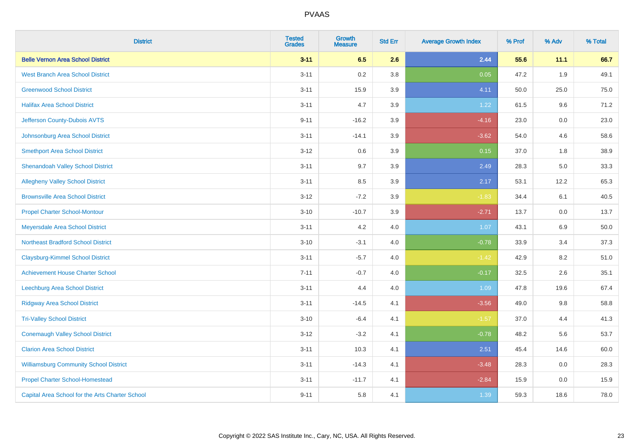| <b>District</b>                                 | <b>Tested</b><br><b>Grades</b> | <b>Growth</b><br><b>Measure</b> | <b>Std Err</b> | <b>Average Growth Index</b> | % Prof | % Adv | % Total |
|-------------------------------------------------|--------------------------------|---------------------------------|----------------|-----------------------------|--------|-------|---------|
| <b>Belle Vernon Area School District</b>        | $3 - 11$                       | 6.5                             | 2.6            | 2.44                        | 55.6   | 11.1  | 66.7    |
| <b>West Branch Area School District</b>         | $3 - 11$                       | 0.2                             | 3.8            | 0.05                        | 47.2   | 1.9   | 49.1    |
| <b>Greenwood School District</b>                | $3 - 11$                       | 15.9                            | 3.9            | 4.11                        | 50.0   | 25.0  | 75.0    |
| <b>Halifax Area School District</b>             | $3 - 11$                       | 4.7                             | 3.9            | 1.22                        | 61.5   | 9.6   | 71.2    |
| Jefferson County-Dubois AVTS                    | $9 - 11$                       | $-16.2$                         | 3.9            | $-4.16$                     | 23.0   | 0.0   | 23.0    |
| Johnsonburg Area School District                | $3 - 11$                       | $-14.1$                         | 3.9            | $-3.62$                     | 54.0   | 4.6   | 58.6    |
| <b>Smethport Area School District</b>           | $3-12$                         | 0.6                             | 3.9            | 0.15                        | 37.0   | 1.8   | 38.9    |
| <b>Shenandoah Valley School District</b>        | $3 - 11$                       | 9.7                             | 3.9            | 2.49                        | 28.3   | 5.0   | 33.3    |
| <b>Allegheny Valley School District</b>         | $3 - 11$                       | 8.5                             | 3.9            | 2.17                        | 53.1   | 12.2  | 65.3    |
| <b>Brownsville Area School District</b>         | $3 - 12$                       | $-7.2$                          | 3.9            | $-1.83$                     | 34.4   | 6.1   | 40.5    |
| <b>Propel Charter School-Montour</b>            | $3 - 10$                       | $-10.7$                         | 3.9            | $-2.71$                     | 13.7   | 0.0   | 13.7    |
| Meyersdale Area School District                 | $3 - 11$                       | 4.2                             | 4.0            | 1.07                        | 43.1   | 6.9   | 50.0    |
| <b>Northeast Bradford School District</b>       | $3 - 10$                       | $-3.1$                          | 4.0            | $-0.78$                     | 33.9   | 3.4   | 37.3    |
| <b>Claysburg-Kimmel School District</b>         | $3 - 11$                       | $-5.7$                          | 4.0            | $-1.42$                     | 42.9   | 8.2   | 51.0    |
| <b>Achievement House Charter School</b>         | $7 - 11$                       | $-0.7$                          | 4.0            | $-0.17$                     | 32.5   | 2.6   | 35.1    |
| Leechburg Area School District                  | $3 - 11$                       | 4.4                             | 4.0            | 1.09                        | 47.8   | 19.6  | 67.4    |
| <b>Ridgway Area School District</b>             | $3 - 11$                       | $-14.5$                         | 4.1            | $-3.56$                     | 49.0   | 9.8   | 58.8    |
| <b>Tri-Valley School District</b>               | $3 - 10$                       | $-6.4$                          | 4.1            | $-1.57$                     | 37.0   | 4.4   | 41.3    |
| <b>Conemaugh Valley School District</b>         | $3 - 12$                       | $-3.2$                          | 4.1            | $-0.78$                     | 48.2   | 5.6   | 53.7    |
| <b>Clarion Area School District</b>             | $3 - 11$                       | 10.3                            | 4.1            | 2.51                        | 45.4   | 14.6  | 60.0    |
| <b>Williamsburg Community School District</b>   | $3 - 11$                       | $-14.3$                         | 4.1            | $-3.48$                     | 28.3   | 0.0   | 28.3    |
| <b>Propel Charter School-Homestead</b>          | $3 - 11$                       | $-11.7$                         | 4.1            | $-2.84$                     | 15.9   | 0.0   | 15.9    |
| Capital Area School for the Arts Charter School | $9 - 11$                       | 5.8                             | 4.1            | 1.39                        | 59.3   | 18.6  | 78.0    |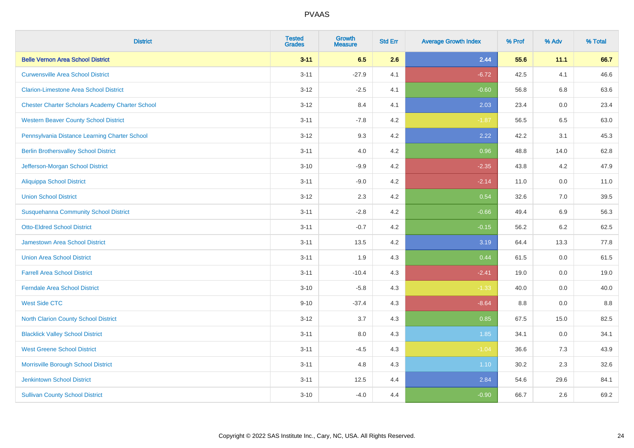| <b>District</b>                                        | <b>Tested</b><br><b>Grades</b> | <b>Growth</b><br><b>Measure</b> | <b>Std Err</b> | <b>Average Growth Index</b> | % Prof | % Adv | % Total |
|--------------------------------------------------------|--------------------------------|---------------------------------|----------------|-----------------------------|--------|-------|---------|
| <b>Belle Vernon Area School District</b>               | $3 - 11$                       | 6.5                             | 2.6            | 2.44                        | 55.6   | 11.1  | 66.7    |
| <b>Curwensville Area School District</b>               | $3 - 11$                       | $-27.9$                         | 4.1            | $-6.72$                     | 42.5   | 4.1   | 46.6    |
| <b>Clarion-Limestone Area School District</b>          | $3 - 12$                       | $-2.5$                          | 4.1            | $-0.60$                     | 56.8   | 6.8   | 63.6    |
| <b>Chester Charter Scholars Academy Charter School</b> | $3 - 12$                       | 8.4                             | 4.1            | 2.03                        | 23.4   | 0.0   | 23.4    |
| <b>Western Beaver County School District</b>           | $3 - 11$                       | $-7.8$                          | 4.2            | $-1.87$                     | 56.5   | 6.5   | 63.0    |
| Pennsylvania Distance Learning Charter School          | $3 - 12$                       | 9.3                             | 4.2            | 2.22                        | 42.2   | 3.1   | 45.3    |
| <b>Berlin Brothersvalley School District</b>           | $3 - 11$                       | 4.0                             | 4.2            | 0.96                        | 48.8   | 14.0  | 62.8    |
| Jefferson-Morgan School District                       | $3 - 10$                       | $-9.9$                          | 4.2            | $-2.35$                     | 43.8   | 4.2   | 47.9    |
| <b>Aliquippa School District</b>                       | $3 - 11$                       | $-9.0$                          | 4.2            | $-2.14$                     | 11.0   | 0.0   | 11.0    |
| <b>Union School District</b>                           | $3 - 12$                       | 2.3                             | 4.2            | 0.54                        | 32.6   | 7.0   | 39.5    |
| <b>Susquehanna Community School District</b>           | $3 - 11$                       | $-2.8$                          | 4.2            | $-0.66$                     | 49.4   | 6.9   | 56.3    |
| <b>Otto-Eldred School District</b>                     | $3 - 11$                       | $-0.7$                          | 4.2            | $-0.15$                     | 56.2   | 6.2   | 62.5    |
| <b>Jamestown Area School District</b>                  | $3 - 11$                       | 13.5                            | 4.2            | 3.19                        | 64.4   | 13.3  | 77.8    |
| <b>Union Area School District</b>                      | $3 - 11$                       | 1.9                             | 4.3            | 0.44                        | 61.5   | 0.0   | 61.5    |
| <b>Farrell Area School District</b>                    | $3 - 11$                       | $-10.4$                         | 4.3            | $-2.41$                     | 19.0   | 0.0   | 19.0    |
| <b>Ferndale Area School District</b>                   | $3 - 10$                       | $-5.8$                          | 4.3            | $-1.33$                     | 40.0   | 0.0   | 40.0    |
| <b>West Side CTC</b>                                   | $9 - 10$                       | $-37.4$                         | 4.3            | $-8.64$                     | 8.8    | 0.0   | 8.8     |
| <b>North Clarion County School District</b>            | $3 - 12$                       | 3.7                             | 4.3            | 0.85                        | 67.5   | 15.0  | 82.5    |
| <b>Blacklick Valley School District</b>                | $3 - 11$                       | $8.0\,$                         | 4.3            | 1.85                        | 34.1   | 0.0   | 34.1    |
| <b>West Greene School District</b>                     | $3 - 11$                       | $-4.5$                          | 4.3            | $-1.04$                     | 36.6   | 7.3   | 43.9    |
| Morrisville Borough School District                    | $3 - 11$                       | 4.8                             | 4.3            | 1.10                        | 30.2   | 2.3   | 32.6    |
| <b>Jenkintown School District</b>                      | $3 - 11$                       | 12.5                            | 4.4            | 2.84                        | 54.6   | 29.6  | 84.1    |
| <b>Sullivan County School District</b>                 | $3 - 10$                       | $-4.0$                          | 4.4            | $-0.90$                     | 66.7   | 2.6   | 69.2    |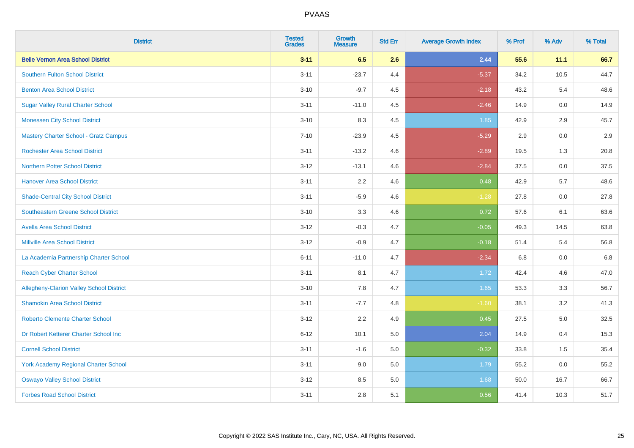| <b>District</b>                                 | <b>Tested</b><br><b>Grades</b> | <b>Growth</b><br><b>Measure</b> | <b>Std Err</b> | <b>Average Growth Index</b> | % Prof | % Adv   | % Total |
|-------------------------------------------------|--------------------------------|---------------------------------|----------------|-----------------------------|--------|---------|---------|
| <b>Belle Vernon Area School District</b>        | $3 - 11$                       | 6.5                             | 2.6            | 2.44                        | 55.6   | 11.1    | 66.7    |
| <b>Southern Fulton School District</b>          | $3 - 11$                       | $-23.7$                         | 4.4            | $-5.37$                     | 34.2   | 10.5    | 44.7    |
| <b>Benton Area School District</b>              | $3 - 10$                       | $-9.7$                          | 4.5            | $-2.18$                     | 43.2   | 5.4     | 48.6    |
| <b>Sugar Valley Rural Charter School</b>        | $3 - 11$                       | $-11.0$                         | 4.5            | $-2.46$                     | 14.9   | $0.0\,$ | 14.9    |
| <b>Monessen City School District</b>            | $3 - 10$                       | 8.3                             | 4.5            | 1.85                        | 42.9   | 2.9     | 45.7    |
| <b>Mastery Charter School - Gratz Campus</b>    | $7 - 10$                       | $-23.9$                         | 4.5            | $-5.29$                     | 2.9    | 0.0     | 2.9     |
| <b>Rochester Area School District</b>           | $3 - 11$                       | $-13.2$                         | 4.6            | $-2.89$                     | 19.5   | 1.3     | 20.8    |
| <b>Northern Potter School District</b>          | $3 - 12$                       | $-13.1$                         | 4.6            | $-2.84$                     | 37.5   | 0.0     | 37.5    |
| <b>Hanover Area School District</b>             | $3 - 11$                       | 2.2                             | 4.6            | 0.48                        | 42.9   | 5.7     | 48.6    |
| <b>Shade-Central City School District</b>       | $3 - 11$                       | $-5.9$                          | 4.6            | $-1.28$                     | 27.8   | 0.0     | 27.8    |
| <b>Southeastern Greene School District</b>      | $3 - 10$                       | 3.3                             | 4.6            | 0.72                        | 57.6   | 6.1     | 63.6    |
| <b>Avella Area School District</b>              | $3 - 12$                       | $-0.3$                          | 4.7            | $-0.05$                     | 49.3   | 14.5    | 63.8    |
| <b>Millville Area School District</b>           | $3 - 12$                       | $-0.9$                          | 4.7            | $-0.18$                     | 51.4   | 5.4     | 56.8    |
| La Academia Partnership Charter School          | $6 - 11$                       | $-11.0$                         | 4.7            | $-2.34$                     | 6.8    | 0.0     | 6.8     |
| <b>Reach Cyber Charter School</b>               | $3 - 11$                       | 8.1                             | 4.7            | 1.72                        | 42.4   | 4.6     | 47.0    |
| <b>Allegheny-Clarion Valley School District</b> | $3 - 10$                       | 7.8                             | 4.7            | 1.65                        | 53.3   | 3.3     | 56.7    |
| <b>Shamokin Area School District</b>            | $3 - 11$                       | $-7.7$                          | 4.8            | $-1.60$                     | 38.1   | 3.2     | 41.3    |
| <b>Roberto Clemente Charter School</b>          | $3 - 12$                       | 2.2                             | 4.9            | 0.45                        | 27.5   | 5.0     | 32.5    |
| Dr Robert Ketterer Charter School Inc           | $6 - 12$                       | 10.1                            | 5.0            | 2.04                        | 14.9   | 0.4     | 15.3    |
| <b>Cornell School District</b>                  | $3 - 11$                       | $-1.6$                          | 5.0            | $-0.32$                     | 33.8   | 1.5     | 35.4    |
| York Academy Regional Charter School            | $3 - 11$                       | 9.0                             | 5.0            | 1.79                        | 55.2   | 0.0     | 55.2    |
| <b>Oswayo Valley School District</b>            | $3 - 12$                       | 8.5                             | 5.0            | 1.68                        | 50.0   | 16.7    | 66.7    |
| <b>Forbes Road School District</b>              | $3 - 11$                       | 2.8                             | 5.1            | 0.56                        | 41.4   | 10.3    | 51.7    |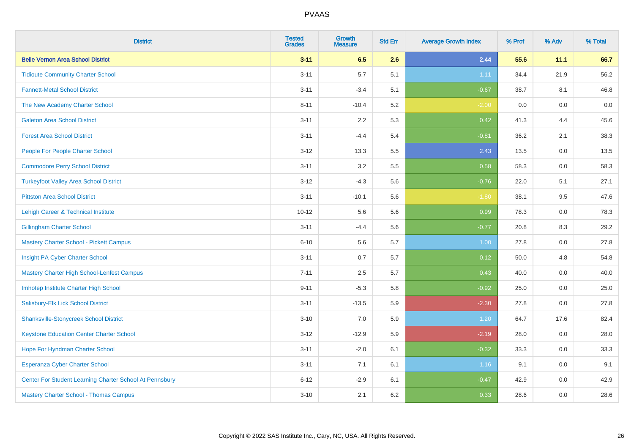| <b>District</b>                                         | <b>Tested</b><br><b>Grades</b> | <b>Growth</b><br><b>Measure</b> | <b>Std Err</b> | <b>Average Growth Index</b> | % Prof | % Adv   | % Total |
|---------------------------------------------------------|--------------------------------|---------------------------------|----------------|-----------------------------|--------|---------|---------|
| <b>Belle Vernon Area School District</b>                | $3 - 11$                       | 6.5                             | 2.6            | 2.44                        | 55.6   | 11.1    | 66.7    |
| <b>Tidioute Community Charter School</b>                | $3 - 11$                       | 5.7                             | 5.1            | 1.11                        | 34.4   | 21.9    | 56.2    |
| <b>Fannett-Metal School District</b>                    | $3 - 11$                       | $-3.4$                          | 5.1            | $-0.67$                     | 38.7   | 8.1     | 46.8    |
| The New Academy Charter School                          | $8 - 11$                       | $-10.4$                         | 5.2            | $-2.00$                     | 0.0    | $0.0\,$ | $0.0\,$ |
| <b>Galeton Area School District</b>                     | $3 - 11$                       | 2.2                             | 5.3            | 0.42                        | 41.3   | 4.4     | 45.6    |
| <b>Forest Area School District</b>                      | $3 - 11$                       | $-4.4$                          | 5.4            | $-0.81$                     | 36.2   | 2.1     | 38.3    |
| People For People Charter School                        | $3 - 12$                       | 13.3                            | 5.5            | 2.43                        | 13.5   | 0.0     | 13.5    |
| <b>Commodore Perry School District</b>                  | $3 - 11$                       | 3.2                             | 5.5            | 0.58                        | 58.3   | 0.0     | 58.3    |
| <b>Turkeyfoot Valley Area School District</b>           | $3 - 12$                       | $-4.3$                          | 5.6            | $-0.76$                     | 22.0   | 5.1     | 27.1    |
| <b>Pittston Area School District</b>                    | $3 - 11$                       | $-10.1$                         | 5.6            | $-1.80$                     | 38.1   | 9.5     | 47.6    |
| Lehigh Career & Technical Institute                     | $10 - 12$                      | 5.6                             | 5.6            | 0.99                        | 78.3   | 0.0     | 78.3    |
| <b>Gillingham Charter School</b>                        | $3 - 11$                       | $-4.4$                          | 5.6            | $-0.77$                     | 20.8   | 8.3     | 29.2    |
| <b>Mastery Charter School - Pickett Campus</b>          | $6 - 10$                       | 5.6                             | 5.7            | 1.00                        | 27.8   | 0.0     | 27.8    |
| Insight PA Cyber Charter School                         | $3 - 11$                       | 0.7                             | 5.7            | 0.12                        | 50.0   | 4.8     | 54.8    |
| Mastery Charter High School-Lenfest Campus              | $7 - 11$                       | 2.5                             | 5.7            | 0.43                        | 40.0   | 0.0     | 40.0    |
| Imhotep Institute Charter High School                   | $9 - 11$                       | $-5.3$                          | 5.8            | $-0.92$                     | 25.0   | 0.0     | 25.0    |
| Salisbury-Elk Lick School District                      | $3 - 11$                       | $-13.5$                         | 5.9            | $-2.30$                     | 27.8   | 0.0     | 27.8    |
| <b>Shanksville-Stonycreek School District</b>           | $3 - 10$                       | 7.0                             | 5.9            | 1.20                        | 64.7   | 17.6    | 82.4    |
| <b>Keystone Education Center Charter School</b>         | $3 - 12$                       | $-12.9$                         | 5.9            | $-2.19$                     | 28.0   | 0.0     | 28.0    |
| Hope For Hyndman Charter School                         | $3 - 11$                       | $-2.0$                          | 6.1            | $-0.32$                     | 33.3   | 0.0     | 33.3    |
| Esperanza Cyber Charter School                          | $3 - 11$                       | 7.1                             | 6.1            | 1.16                        | 9.1    | 0.0     | 9.1     |
| Center For Student Learning Charter School At Pennsbury | $6 - 12$                       | $-2.9$                          | 6.1            | $-0.47$                     | 42.9   | 0.0     | 42.9    |
| <b>Mastery Charter School - Thomas Campus</b>           | $3 - 10$                       | 2.1                             | 6.2            | 0.33                        | 28.6   | 0.0     | 28.6    |